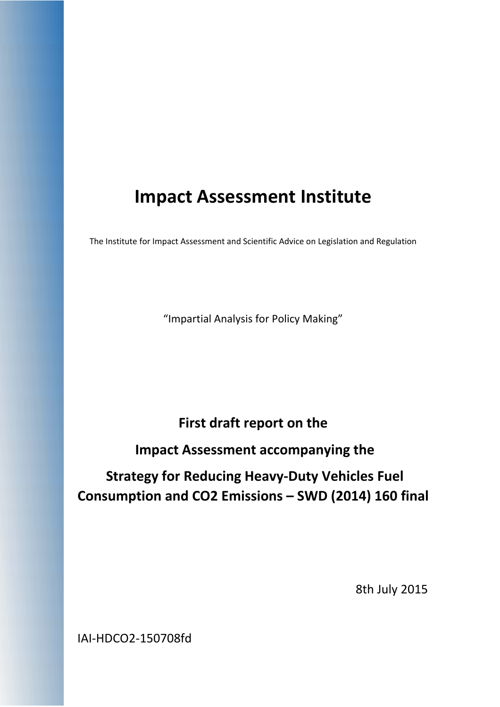# **Impact Assessment Institute**

The Institute for Impact Assessment and Scientific Advice on Legislation and Regulation

"Impartial Analysis for Policy Making"

## **First draft report on the**

## **Impact Assessment accompanying the**

# **Strategy for Reducing Heavy‐Duty Vehicles Fuel Consumption and CO2 Emissions – SWD (2014) 160 final**

8th July 2015

IAI‐HDCO2‐150708fd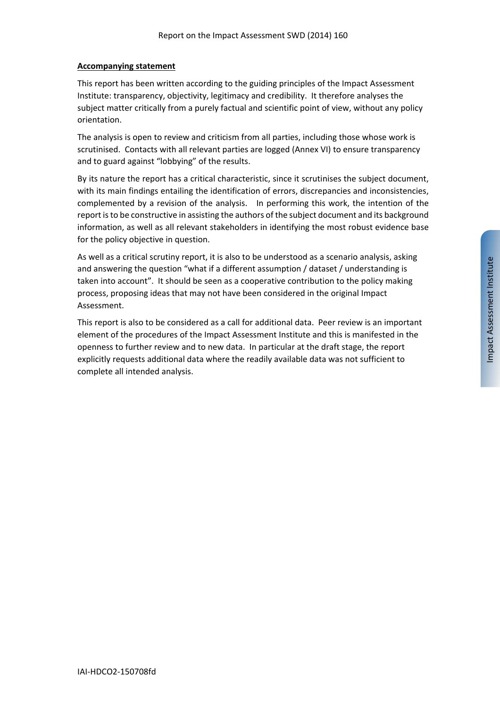#### **Accompanying statement**

This report has been written according to the guiding principles of the Impact Assessment Institute: transparency, objectivity, legitimacy and credibility. It therefore analyses the subject matter critically from a purely factual and scientific point of view, without any policy orientation.

The analysis is open to review and criticism from all parties, including those whose work is scrutinised. Contacts with all relevant parties are logged (Annex VI) to ensure transparency and to guard against "lobbying" of the results.

By its nature the report has a critical characteristic, since it scrutinises the subject document, with its main findings entailing the identification of errors, discrepancies and inconsistencies, complemented by a revision of the analysis. In performing this work, the intention of the report is to be constructive in assisting the authors of the subject document and its background information, as well as all relevant stakeholders in identifying the most robust evidence base for the policy objective in question.

As well as a critical scrutiny report, it is also to be understood as a scenario analysis, asking and answering the question "what if a different assumption / dataset / understanding is taken into account". It should be seen as a cooperative contribution to the policy making process, proposing ideas that may not have been considered in the original Impact Assessment.

This report is also to be considered as a call for additional data. Peer review is an important element of the procedures of the Impact Assessment Institute and this is manifested in the openness to further review and to new data. In particular at the draft stage, the report explicitly requests additional data where the readily available data was not sufficient to complete all intended analysis.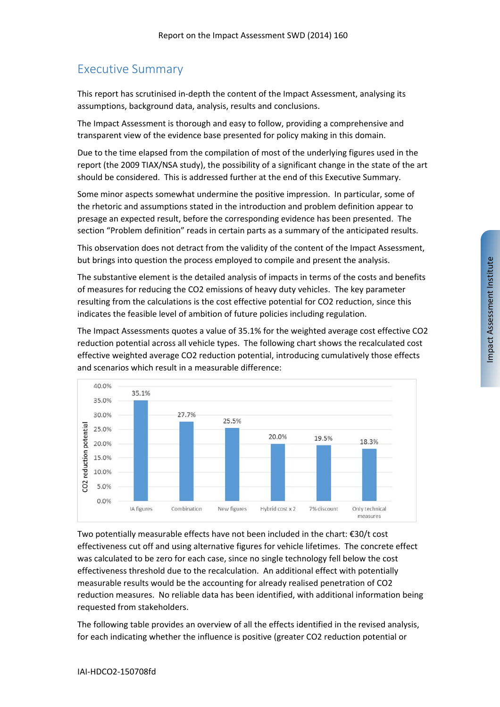## Executive Summary

This report has scrutinised in‐depth the content of the Impact Assessment, analysing its assumptions, background data, analysis, results and conclusions.

The Impact Assessment is thorough and easy to follow, providing a comprehensive and transparent view of the evidence base presented for policy making in this domain.

Due to the time elapsed from the compilation of most of the underlying figures used in the report (the 2009 TIAX/NSA study), the possibility of a significant change in the state of the art should be considered. This is addressed further at the end of this Executive Summary.

Some minor aspects somewhat undermine the positive impression. In particular, some of the rhetoric and assumptions stated in the introduction and problem definition appear to presage an expected result, before the corresponding evidence has been presented. The section "Problem definition" reads in certain parts as a summary of the anticipated results.

This observation does not detract from the validity of the content of the Impact Assessment, but brings into question the process employed to compile and present the analysis.

The substantive element is the detailed analysis of impacts in terms of the costs and benefits of measures for reducing the CO2 emissions of heavy duty vehicles. The key parameter resulting from the calculations is the cost effective potential for CO2 reduction, since this indicates the feasible level of ambition of future policies including regulation.

The Impact Assessments quotes a value of 35.1% for the weighted average cost effective CO2 reduction potential across all vehicle types. The following chart shows the recalculated cost effective weighted average CO2 reduction potential, introducing cumulatively those effects and scenarios which result in a measurable difference:



Two potentially measurable effects have not been included in the chart: €30/t cost effectiveness cut off and using alternative figures for vehicle lifetimes. The concrete effect was calculated to be zero for each case, since no single technology fell below the cost effectiveness threshold due to the recalculation. An additional effect with potentially measurable results would be the accounting for already realised penetration of CO2 reduction measures. No reliable data has been identified, with additional information being requested from stakeholders.

The following table provides an overview of all the effects identified in the revised analysis, for each indicating whether the influence is positive (greater CO2 reduction potential or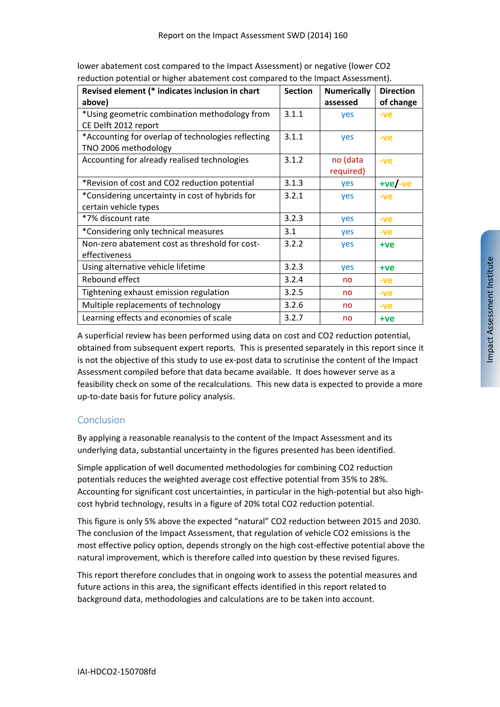| Revised element (* indicates inclusion in chart<br>above)                  | <b>Section</b> | <b>Numerically</b><br>assessed | <b>Direction</b><br>of change |
|----------------------------------------------------------------------------|----------------|--------------------------------|-------------------------------|
| *Using geometric combination methodology from<br>CE Delft 2012 report      | 3.1.1          | yes                            | $-ve$                         |
| *Accounting for overlap of technologies reflecting<br>TNO 2006 methodology | 3.1.1          | yes                            | $-ve$                         |
| Accounting for already realised technologies                               | 3.1.2          | no (data<br>required)          | $-ve$                         |
| *Revision of cost and CO2 reduction potential                              | 3.1.3          | yes                            | $+ve/-ve$                     |
| *Considering uncertainty in cost of hybrids for<br>certain vehicle types   | 3.2.1          | yes                            | $-ve$                         |
| *7% discount rate                                                          | 3.2.3          | yes                            | $-ve$                         |
| *Considering only technical measures                                       | 3.1            | yes                            | $-ve$                         |
| Non-zero abatement cost as threshold for cost-<br>effectiveness            | 3.2.2          | yes                            | +ve                           |
| Using alternative vehicle lifetime                                         | 3.2.3          | yes                            | +ve                           |
| Rebound effect                                                             | 3.2.4          | no                             | $-ve$                         |
| Tightening exhaust emission regulation                                     | 3.2.5          | no                             | $-ve$                         |
| Multiple replacements of technology                                        | 3.2.6          | no                             | $-ve$                         |
| Learning effects and economies of scale                                    | 3.2.7          | no                             | +ve                           |

lower abatement cost compared to the Impact Assessment) or negative (lower CO2 reduction potential or higher abatement cost compared to the Impact Assessment).

A superficial review has been performed using data on cost and CO2 reduction potential, obtained from subsequent expert reports. This is presented separately in this report since it is not the objective of this study to use ex-post data to scrutinise the content of the Impact Assessment compiled before that data became available. It does however serve as a feasibility check on some of the recalculations. This new data is expected to provide a more up‐to‐date basis for future policy analysis.

## Conclusion

By applying a reasonable reanalysis to the content of the Impact Assessment and its underlying data, substantial uncertainty in the figures presented has been identified.

Simple application of well documented methodologies for combining CO2 reduction potentials reduces the weighted average cost effective potential from 35% to 28%. Accounting for significant cost uncertainties, in particular in the high‐potential but also high‐ cost hybrid technology, results in a figure of 20% total CO2 reduction potential.

This figure is only 5% above the expected "natural" CO2 reduction between 2015 and 2030. The conclusion of the Impact Assessment, that regulation of vehicle CO2 emissions is the most effective policy option, depends strongly on the high cost-effective potential above the natural improvement, which is therefore called into question by these revised figures.

This report therefore concludes that in ongoing work to assess the potential measures and future actions in this area, the significant effects identified in this report related to background data, methodologies and calculations are to be taken into account.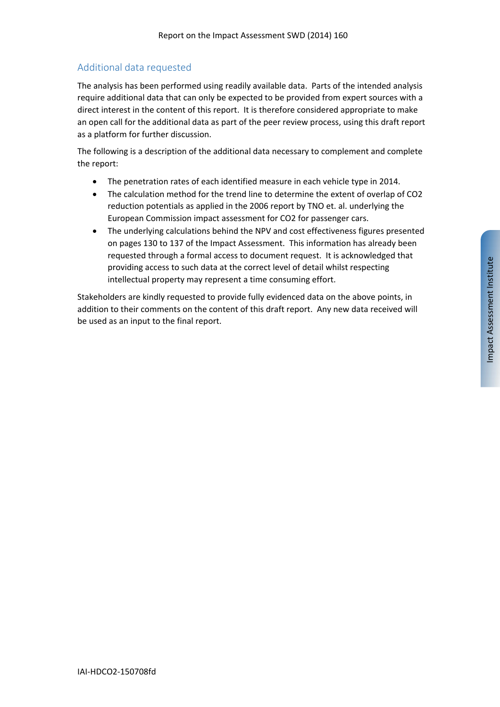## Additional data requested

The analysis has been performed using readily available data. Parts of the intended analysis require additional data that can only be expected to be provided from expert sources with a direct interest in the content of this report. It is therefore considered appropriate to make an open call for the additional data as part of the peer review process, using this draft report as a platform for further discussion.

The following is a description of the additional data necessary to complement and complete the report:

- The penetration rates of each identified measure in each vehicle type in 2014.
- The calculation method for the trend line to determine the extent of overlap of CO2 reduction potentials as applied in the 2006 report by TNO et. al. underlying the European Commission impact assessment for CO2 for passenger cars.
- The underlying calculations behind the NPV and cost effectiveness figures presented on pages 130 to 137 of the Impact Assessment. This information has already been requested through a formal access to document request. It is acknowledged that providing access to such data at the correct level of detail whilst respecting intellectual property may represent a time consuming effort.

Stakeholders are kindly requested to provide fully evidenced data on the above points, in addition to their comments on the content of this draft report. Any new data received will be used as an input to the final report.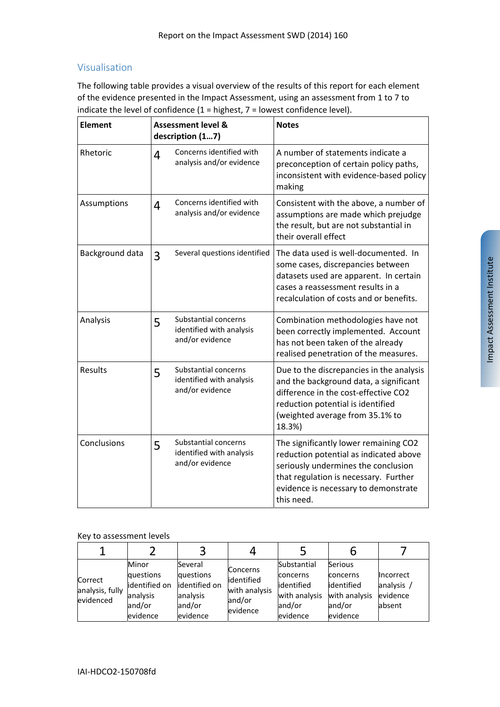## Visualisation

The following table provides a visual overview of the results of this report for each element of the evidence presented in the Impact Assessment, using an assessment from 1 to 7 to indicate the level of confidence  $(1 =$  highest,  $7 =$  lowest confidence level).

| <b>Element</b>  |   | <b>Assessment level &amp;</b><br>description (17)                   | <b>Notes</b>                                                                                                                                                                                                          |  |  |
|-----------------|---|---------------------------------------------------------------------|-----------------------------------------------------------------------------------------------------------------------------------------------------------------------------------------------------------------------|--|--|
| Rhetoric        | 4 | Concerns identified with<br>analysis and/or evidence                | A number of statements indicate a<br>preconception of certain policy paths,<br>inconsistent with evidence-based policy<br>making                                                                                      |  |  |
| Assumptions     | 4 | Concerns identified with<br>analysis and/or evidence                | Consistent with the above, a number of<br>assumptions are made which prejudge<br>the result, but are not substantial in<br>their overall effect                                                                       |  |  |
| Background data | 3 | Several questions identified                                        | The data used is well-documented. In<br>some cases, discrepancies between<br>datasets used are apparent. In certain<br>cases a reassessment results in a<br>recalculation of costs and or benefits.                   |  |  |
| Analysis        | 5 | Substantial concerns<br>identified with analysis<br>and/or evidence | Combination methodologies have not<br>been correctly implemented. Account<br>has not been taken of the already<br>realised penetration of the measures.                                                               |  |  |
| <b>Results</b>  | 5 | Substantial concerns<br>identified with analysis<br>and/or evidence | Due to the discrepancies in the analysis<br>and the background data, a significant<br>difference in the cost-effective CO2<br>reduction potential is identified<br>(weighted average from 35.1% to<br>18.3%)          |  |  |
| Conclusions     | 5 | Substantial concerns<br>identified with analysis<br>and/or evidence | The significantly lower remaining CO2<br>reduction potential as indicated above<br>seriously undermines the conclusion<br>that regulation is necessary. Further<br>evidence is necessary to demonstrate<br>this need. |  |  |

#### Key to assessment levels

| Correct<br>analysis, fully<br>evidenced | Minor<br>questions<br>identified on<br>analysis<br>and/or<br>evidence | Several<br>questions<br>identified on<br>analysis<br>and/or<br>evidence | <b>Concerns</b><br>identified<br>with analysis<br>and/or<br>evidence | Substantial<br>concerns<br>lidentified<br>with analysis<br>and/or<br>evidence | <b>Serious</b><br>concerns<br>lidentified<br>with analysis<br>and/or<br>evidence | <b>Incorrect</b><br>analysis<br>evidence<br>absent |
|-----------------------------------------|-----------------------------------------------------------------------|-------------------------------------------------------------------------|----------------------------------------------------------------------|-------------------------------------------------------------------------------|----------------------------------------------------------------------------------|----------------------------------------------------|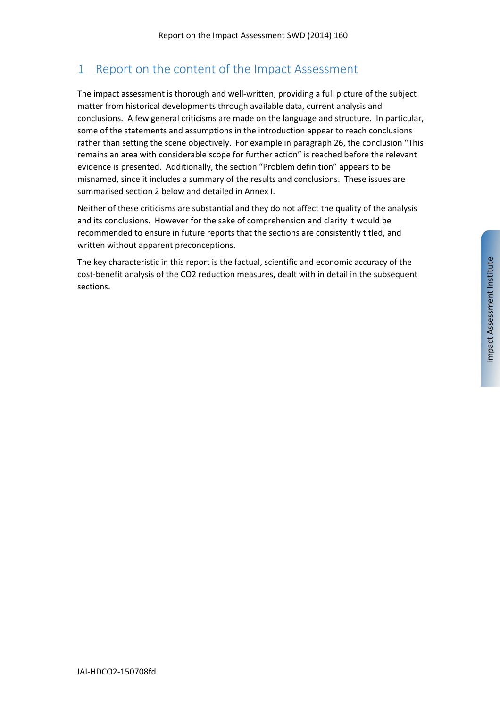## 1 Report on the content of the Impact Assessment

The impact assessment is thorough and well-written, providing a full picture of the subject matter from historical developments through available data, current analysis and conclusions. A few general criticisms are made on the language and structure. In particular, some of the statements and assumptions in the introduction appear to reach conclusions rather than setting the scene objectively. For example in paragraph 26, the conclusion "This remains an area with considerable scope for further action" is reached before the relevant evidence is presented. Additionally, the section "Problem definition" appears to be misnamed, since it includes a summary of the results and conclusions. These issues are summarised section 2 below and detailed in Annex I.

Neither of these criticisms are substantial and they do not affect the quality of the analysis and its conclusions. However for the sake of comprehension and clarity it would be recommended to ensure in future reports that the sections are consistently titled, and written without apparent preconceptions.

The key characteristic in this report is the factual, scientific and economic accuracy of the cost-benefit analysis of the CO2 reduction measures, dealt with in detail in the subsequent sections.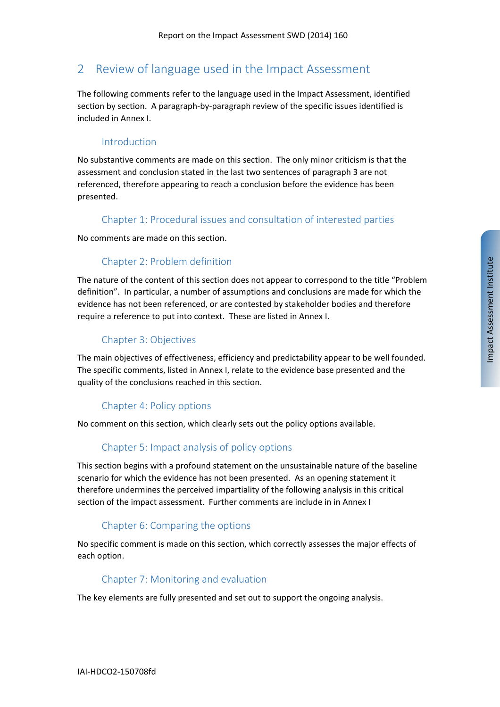## 2 Review of language used in the Impact Assessment

The following comments refer to the language used in the Impact Assessment, identified section by section. A paragraph-by-paragraph review of the specific issues identified is included in Annex I.

#### Introduction

No substantive comments are made on this section. The only minor criticism is that the assessment and conclusion stated in the last two sentences of paragraph 3 are not referenced, therefore appearing to reach a conclusion before the evidence has been presented.

#### Chapter 1: Procedural issues and consultation of interested parties

No comments are made on this section.

### Chapter 2: Problem definition

The nature of the content of this section does not appear to correspond to the title "Problem definition". In particular, a number of assumptions and conclusions are made for which the evidence has not been referenced, or are contested by stakeholder bodies and therefore require a reference to put into context. These are listed in Annex I.

### Chapter 3: Objectives

The main objectives of effectiveness, efficiency and predictability appear to be well founded. The specific comments, listed in Annex I, relate to the evidence base presented and the quality of the conclusions reached in this section.

### Chapter 4: Policy options

No comment on this section, which clearly sets out the policy options available.

### Chapter 5: Impact analysis of policy options

This section begins with a profound statement on the unsustainable nature of the baseline scenario for which the evidence has not been presented. As an opening statement it therefore undermines the perceived impartiality of the following analysis in this critical section of the impact assessment. Further comments are include in in Annex I

#### Chapter 6: Comparing the options

No specific comment is made on this section, which correctly assesses the major effects of each option.

#### Chapter 7: Monitoring and evaluation

The key elements are fully presented and set out to support the ongoing analysis.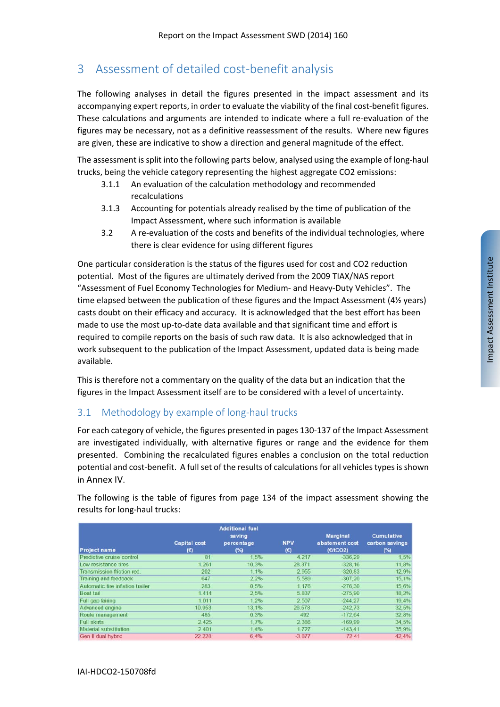## 3 Assessment of detailed cost‐benefit analysis

The following analyses in detail the figures presented in the impact assessment and its accompanying expert reports, in order to evaluate the viability of the final cost-benefit figures. These calculations and arguments are intended to indicate where a full re‐evaluation of the figures may be necessary, not as a definitive reassessment of the results. Where new figures are given, these are indicative to show a direction and general magnitude of the effect.

The assessment is split into the following parts below, analysed using the example of long-haul trucks, being the vehicle category representing the highest aggregate CO2 emissions:

- 3.1.1 An evaluation of the calculation methodology and recommended recalculations
- 3.1.3 Accounting for potentials already realised by the time of publication of the Impact Assessment, where such information is available
- 3.2 A re‐evaluation of the costs and benefits of the individual technologies, where there is clear evidence for using different figures

One particular consideration is the status of the figures used for cost and CO2 reduction potential. Most of the figures are ultimately derived from the 2009 TIAX/NAS report "Assessment of Fuel Economy Technologies for Medium‐ and Heavy‐Duty Vehicles". The time elapsed between the publication of these figures and the Impact Assessment (4½ years) casts doubt on their efficacy and accuracy. It is acknowledged that the best effort has been made to use the most up-to-date data available and that significant time and effort is required to compile reports on the basis of such raw data. It is also acknowledged that in work subsequent to the publication of the Impact Assessment, updated data is being made available.

This is therefore not a commentary on the quality of the data but an indication that the figures in the Impact Assessment itself are to be considered with a level of uncertainty.

### 3.1 Methodology by example of long-haul trucks

For each category of vehicle, the figures presented in pages 130‐137 of the Impact Assessment are investigated individually, with alternative figures or range and the evidence for them presented. Combining the recalculated figures enables a conclusion on the total reduction potential and cost-benefit. A full set of the results of calculations for all vehicles types is shown in Annex IV.

| <b>Project name</b>              | <b>Capital</b> cost<br>$(\epsilon)$ | <b>Additional fuel</b><br>saving<br>percentage<br>$(*)$ | <b>NPV</b><br>$(\epsilon)$ | <b>Marginal</b><br>abatement cost<br>(EtCO2) | <b>Cumulative</b><br>carbon savings<br>$(\%)$ |
|----------------------------------|-------------------------------------|---------------------------------------------------------|----------------------------|----------------------------------------------|-----------------------------------------------|
| Predictive cruise control        | 81                                  | 1.5%                                                    | 4.217                      | $-336.29$                                    | 1,5%                                          |
| Low resistance tires             | 1.261                               | 10,3%                                                   | 28.371                     | $-328,16$                                    | 11,8%                                         |
| Transmission friction red.       | 202                                 | 1.1%                                                    | 2.955                      | $-320.83$                                    | 12,9%                                         |
| Training and feedback            | 647                                 | 2.2%                                                    | 5.589                      | $-307,20$                                    | 15, 1%                                        |
| Automatic tire inflation trailer | 283                                 | 0.5%                                                    | 1.176                      | $-276.30$                                    | 15,6%                                         |
| Boat tail                        | 1.414                               | 2.5%                                                    | 5.837                      | $-275.90$                                    | 18,2%                                         |
| Full gap fairing                 | 1.011                               | 1.2%                                                    | 2.507                      | $-244.27$                                    | 19,4%                                         |
| Advanced engine                  | 10.953                              | 13,1%                                                   | 26.578                     | $-242.73$                                    | 32,5%                                         |
| Route management                 | 485                                 | 0.3%                                                    | 492                        | $-172.64$                                    | 32,8%                                         |
| <b>Full skirts</b>               | 2.425                               | 1.7%                                                    | 2.386                      | $-169.99$                                    | 34,5%                                         |
| Material substitution            | 2.401                               | 1.4%                                                    | 1.727                      | $-143.41$                                    | 35,9%                                         |
| Gen II dual hybrid               | 22.228                              | 6.4%                                                    | $-3.877$                   | 72.41                                        | 42,4%                                         |

The following is the table of figures from page 134 of the impact assessment showing the results for long‐haul trucks: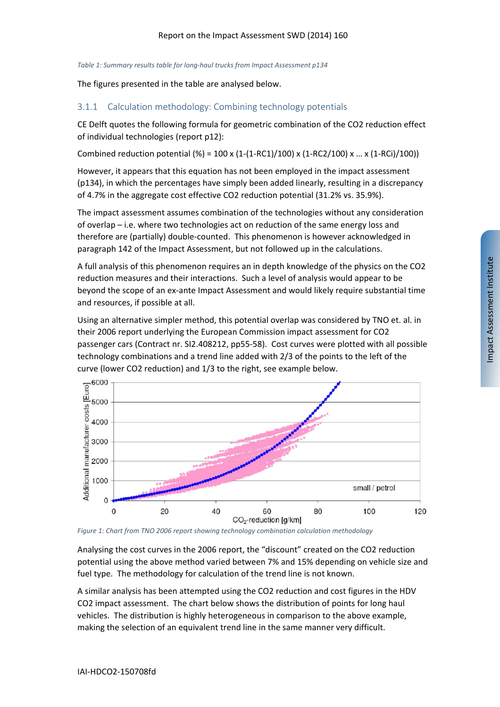*Table 1: Summary results table for long‐haul trucks from Impact Assessment p134*

The figures presented in the table are analysed below.

#### 3.1.1 Calculation methodology: Combining technology potentials

CE Delft quotes the following formula for geometric combination of the CO2 reduction effect of individual technologies (report p12):

Combined reduction potential (%) =  $100 \times (1-(1-RC1)/100) \times (1-RC2/100) \times ... \times (1-RC1)/100)$ 

However, it appears that this equation has not been employed in the impact assessment (p134), in which the percentages have simply been added linearly, resulting in a discrepancy of 4.7% in the aggregate cost effective CO2 reduction potential (31.2% vs. 35.9%).

The impact assessment assumes combination of the technologies without any consideration of overlap – i.e. where two technologies act on reduction of the same energy loss and therefore are (partially) double‐counted. This phenomenon is however acknowledged in paragraph 142 of the Impact Assessment, but not followed up in the calculations.

A full analysis of this phenomenon requires an in depth knowledge of the physics on the CO2 reduction measures and their interactions. Such a level of analysis would appear to be beyond the scope of an ex‐ante Impact Assessment and would likely require substantial time and resources, if possible at all.

Using an alternative simpler method, this potential overlap was considered by TNO et. al. in their 2006 report underlying the European Commission impact assessment for CO2 passenger cars (Contract nr. SI2.408212, pp55‐58). Cost curves were plotted with all possible technology combinations and a trend line added with 2/3 of the points to the left of the curve (lower CO2 reduction) and 1/3 to the right, see example below.



*Figure 1: Chart from TNO 2006 report showing technology combination calculation methodology*

Analysing the cost curves in the 2006 report, the "discount" created on the CO2 reduction potential using the above method varied between 7% and 15% depending on vehicle size and fuel type. The methodology for calculation of the trend line is not known.

A similar analysis has been attempted using the CO2 reduction and cost figures in the HDV CO2 impact assessment. The chart below shows the distribution of points for long haul vehicles. The distribution is highly heterogeneous in comparison to the above example, making the selection of an equivalent trend line in the same manner very difficult.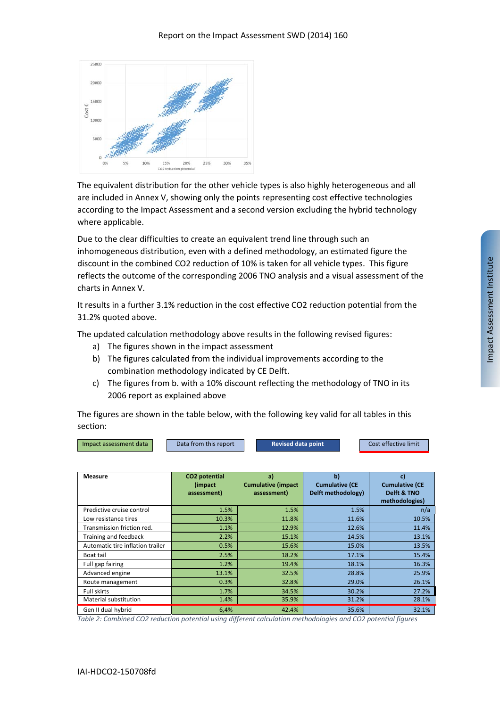

The equivalent distribution for the other vehicle types is also highly heterogeneous and all are included in Annex V, showing only the points representing cost effective technologies according to the Impact Assessment and a second version excluding the hybrid technology where applicable.

Due to the clear difficulties to create an equivalent trend line through such an inhomogeneous distribution, even with a defined methodology, an estimated figure the discount in the combined CO2 reduction of 10% is taken for all vehicle types. This figure reflects the outcome of the corresponding 2006 TNO analysis and a visual assessment of the charts in Annex V.

It results in a further 3.1% reduction in the cost effective CO2 reduction potential from the 31.2% quoted above.

The updated calculation methodology above results in the following revised figures:

- a) The figures shown in the impact assessment
- b) The figures calculated from the individual improvements according to the combination methodology indicated by CE Delft.
- c) The figures from b. with a 10% discount reflecting the methodology of TNO in its 2006 report as explained above

The figures are shown in the table below, with the following key valid for all tables in this section:

| Impact assessment data | Data from this report | <b>Revised data point</b> | Cost effective limit |
|------------------------|-----------------------|---------------------------|----------------------|
|                        |                       |                           |                      |

| <b>Measure</b>                   | CO2 potential<br>(impact)<br>assessment) | a)<br><b>Cumulative (impact</b><br>assessment) | $\mathbf{b}$<br><b>Cumulative (CE</b><br>Delft methodology) | C)<br><b>Cumulative (CE</b><br>Delft & TNO<br>methodologies) |
|----------------------------------|------------------------------------------|------------------------------------------------|-------------------------------------------------------------|--------------------------------------------------------------|
| Predictive cruise control        | 1.5%                                     | 1.5%                                           | 1.5%                                                        | n/a                                                          |
| Low resistance tires             | 10.3%                                    | 11.8%                                          | 11.6%                                                       | 10.5%                                                        |
| Transmission friction red.       | 1.1%                                     | 12.9%                                          | 12.6%                                                       | 11.4%                                                        |
| Training and feedback            | 2.2%                                     | 15.1%                                          | 14.5%                                                       | 13.1%                                                        |
| Automatic tire inflation trailer | 0.5%                                     | 15.6%                                          | 15.0%                                                       | 13.5%                                                        |
| Boat tail                        | 2.5%                                     | 18.2%                                          | 17.1%                                                       | 15.4%                                                        |
| Full gap fairing                 | 1.2%                                     | 19.4%                                          | 18.1%                                                       | 16.3%                                                        |
| Advanced engine                  | 13.1%                                    | 32.5%                                          | 28.8%                                                       | 25.9%                                                        |
| Route management                 | 0.3%                                     | 32.8%                                          | 29.0%                                                       | 26.1%                                                        |
| Full skirts                      | 1.7%                                     | 34.5%                                          | 30.2%                                                       | 27.2%                                                        |
| Material substitution            | 1.4%                                     | 35.9%                                          | 31.2%                                                       | 28.1%                                                        |
| Gen II dual hybrid               | 6,4%                                     | 42.4%                                          | 35.6%                                                       | 32.1%                                                        |

*Table 2: Combined CO2 reduction potential using different calculation methodologies and CO2 potential figures*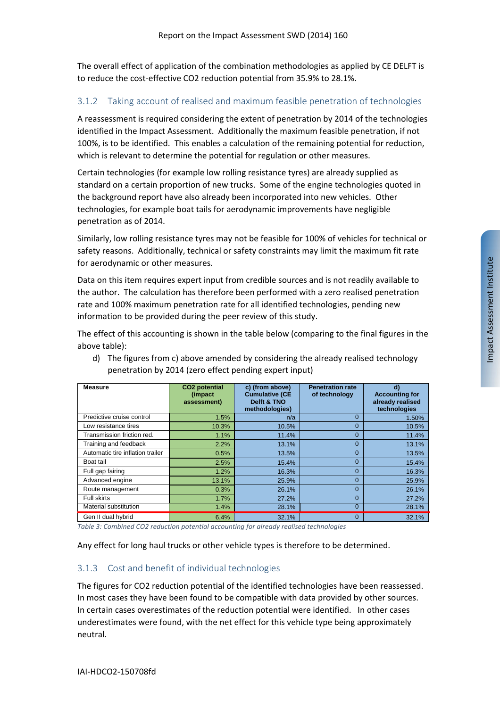The overall effect of application of the combination methodologies as applied by CE DELFT is to reduce the cost-effective CO2 reduction potential from 35.9% to 28.1%.

#### 3.1.2 Taking account of realised and maximum feasible penetration of technologies

A reassessment is required considering the extent of penetration by 2014 of the technologies identified in the Impact Assessment. Additionally the maximum feasible penetration, if not 100%, is to be identified. This enables a calculation of the remaining potential for reduction, which is relevant to determine the potential for regulation or other measures.

Certain technologies (for example low rolling resistance tyres) are already supplied as standard on a certain proportion of new trucks. Some of the engine technologies quoted in the background report have also already been incorporated into new vehicles. Other technologies, for example boat tails for aerodynamic improvements have negligible penetration as of 2014.

Similarly, low rolling resistance tyres may not be feasible for 100% of vehicles for technical or safety reasons. Additionally, technical or safety constraints may limit the maximum fit rate for aerodynamic or other measures.

Data on this item requires expert input from credible sources and is not readily available to the author. The calculation has therefore been performed with a zero realised penetration rate and 100% maximum penetration rate for all identified technologies, pending new information to be provided during the peer review of this study.

The effect of this accounting is shown in the table below (comparing to the final figures in the above table):

| <b>Measure</b>                   | CO <sub>2</sub> potential<br>(impact)<br>assessment) | c) (from above)<br><b>Cumulative (CE</b><br>Delft & TNO<br>methodologies) | <b>Penetration rate</b><br>of technology | d)<br><b>Accounting for</b><br>already realised<br>technologies |
|----------------------------------|------------------------------------------------------|---------------------------------------------------------------------------|------------------------------------------|-----------------------------------------------------------------|
| Predictive cruise control        | 1.5%                                                 | n/a                                                                       | $\Omega$                                 | 1.50%                                                           |
| Low resistance tires             | 10.3%                                                | 10.5%                                                                     | $\Omega$                                 | 10.5%                                                           |
| Transmission friction red.       | 1.1%                                                 | 11.4%                                                                     | $\Omega$                                 | 11.4%                                                           |
| Training and feedback            | 2.2%                                                 | 13.1%                                                                     | $\Omega$                                 | 13.1%                                                           |
| Automatic tire inflation trailer | 0.5%                                                 | 13.5%                                                                     | $\Omega$                                 | 13.5%                                                           |
| Boat tail                        | 2.5%                                                 | 15.4%                                                                     | $\Omega$                                 | 15.4%                                                           |
| Full gap fairing                 | 1.2%                                                 | 16.3%                                                                     | $\Omega$                                 | 16.3%                                                           |
| Advanced engine                  | 13.1%                                                | 25.9%                                                                     | $\Omega$                                 | 25.9%                                                           |
| Route management                 | 0.3%                                                 | 26.1%                                                                     | $\Omega$                                 | 26.1%                                                           |
| <b>Full skirts</b>               | 1.7%                                                 | 27.2%                                                                     | $\overline{0}$                           | 27.2%                                                           |
| Material substitution            | 1.4%                                                 | 28.1%                                                                     | $\Omega$                                 | 28.1%                                                           |
| Gen II dual hybrid               | 6,4%                                                 | 32.1%                                                                     | $\Omega$                                 | 32.1%                                                           |

d) The figures from c) above amended by considering the already realised technology penetration by 2014 (zero effect pending expert input)

*Table 3: Combined CO2 reduction potential accounting for already realised technologies*

Any effect for long haul trucks or other vehicle types is therefore to be determined.

#### 3.1.3 Cost and benefit of individual technologies

The figures for CO2 reduction potential of the identified technologies have been reassessed. In most cases they have been found to be compatible with data provided by other sources. In certain cases overestimates of the reduction potential were identified. In other cases underestimates were found, with the net effect for this vehicle type being approximately neutral.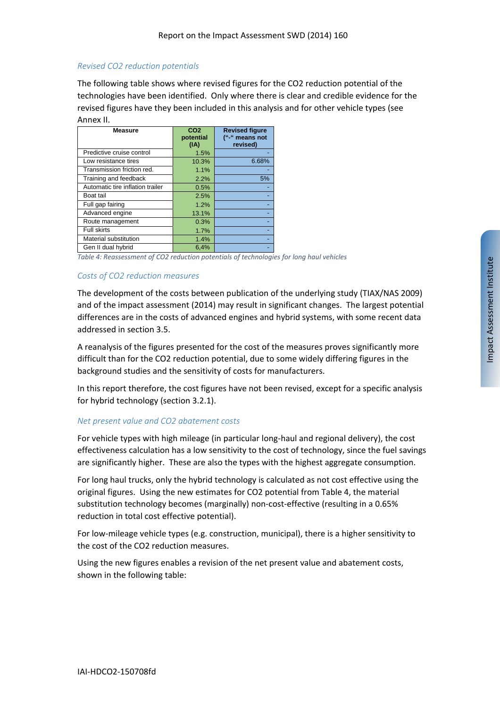#### *Revised CO2 reduction potentials*

The following table shows where revised figures for the CO2 reduction potential of the technologies have been identified. Only where there is clear and credible evidence for the revised figures have they been included in this analysis and for other vehicle types (see Annex II.

| <b>Measure</b>                   | CO <sub>2</sub><br>potential<br>(IA) | <b>Revised figure</b><br>("-" means not<br>revised) |
|----------------------------------|--------------------------------------|-----------------------------------------------------|
| Predictive cruise control        | 1.5%                                 |                                                     |
| Low resistance tires             | 10.3%                                | 6.68%                                               |
| Transmission friction red.       | 1.1%                                 |                                                     |
| Training and feedback            | 2.2%                                 | 5%                                                  |
| Automatic tire inflation trailer | 0.5%                                 |                                                     |
| Boat tail                        | 2.5%                                 |                                                     |
| Full gap fairing                 | 1.2%                                 |                                                     |
| Advanced engine                  | 13.1%                                |                                                     |
| Route management                 | 0.3%                                 |                                                     |
| <b>Full skirts</b>               | 1.7%                                 |                                                     |
| Material substitution            | 1.4%                                 |                                                     |
| Gen II dual hybrid               | 6,4%                                 |                                                     |

*Table 4: Reassessment of CO2 reduction potentials of technologies for long haul vehicles*

#### *Costs of CO2 reduction measures*

The development of the costs between publication of the underlying study (TIAX/NAS 2009) and of the impact assessment (2014) may result in significant changes. The largest potential differences are in the costs of advanced engines and hybrid systems, with some recent data addressed in section 3.5.

A reanalysis of the figures presented for the cost of the measures proves significantly more difficult than for the CO2 reduction potential, due to some widely differing figures in the background studies and the sensitivity of costs for manufacturers.

In this report therefore, the cost figures have not been revised, except for a specific analysis for hybrid technology (section 3.2.1).

#### *Net present value and CO2 abatement costs*

For vehicle types with high mileage (in particular long‐haul and regional delivery), the cost effectiveness calculation has a low sensitivity to the cost of technology, since the fuel savings are significantly higher. These are also the types with the highest aggregate consumption.

For long haul trucks, only the hybrid technology is calculated as not cost effective using the original figures. Using the new estimates for CO2 potential from Table 4, the material substitution technology becomes (marginally) non‐cost‐effective (resulting in a 0.65% reduction in total cost effective potential).

For low-mileage vehicle types (e.g. construction, municipal), there is a higher sensitivity to the cost of the CO2 reduction measures.

Using the new figures enables a revision of the net present value and abatement costs, shown in the following table: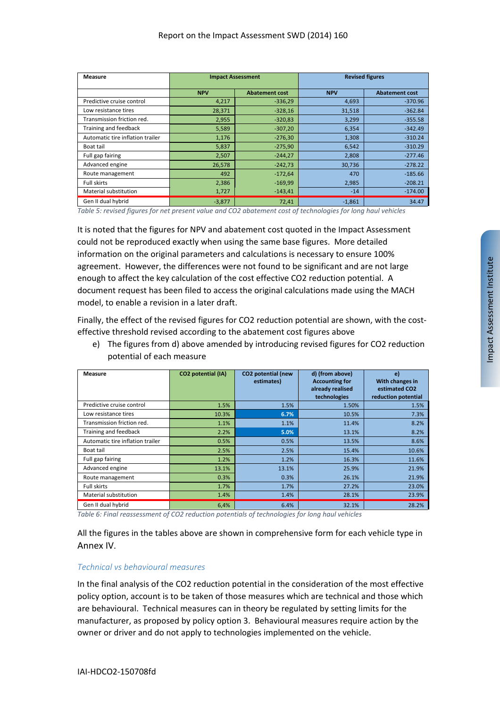| Measure                          |            | <b>Impact Assessment</b> | <b>Revised figures</b> |                       |  |
|----------------------------------|------------|--------------------------|------------------------|-----------------------|--|
|                                  | <b>NPV</b> | <b>Abatement cost</b>    | <b>NPV</b>             | <b>Abatement cost</b> |  |
| Predictive cruise control        | 4,217      | $-336,29$                | 4,693                  | $-370.96$             |  |
| Low resistance tires             | 28,371     | $-328,16$                | 31,518                 | $-362.84$             |  |
| Transmission friction red.       | 2,955      | $-320,83$                | 3,299                  | $-355.58$             |  |
| Training and feedback            | 5,589      | $-307,20$                | 6,354                  | $-342.49$             |  |
| Automatic tire inflation trailer | 1,176      | $-276,30$                | 1,308                  | $-310.24$             |  |
| Boat tail                        | 5,837      | $-275,90$                | 6,542                  | $-310.29$             |  |
| Full gap fairing                 | 2,507      | $-244,27$                | 2,808                  | $-277.46$             |  |
| Advanced engine                  | 26,578     | $-242,73$                | 30,736                 | $-278.22$             |  |
| Route management                 | 492        | $-172,64$                | 470                    | $-185.66$             |  |
| <b>Full skirts</b>               | 2,386      | $-169,99$                | 2,985                  | $-208.21$             |  |
| Material substitution            | 1,727      | $-143,41$                | $-14$                  | $-174.00$             |  |
| Gen II dual hybrid               | $-3,877$   | 72,41                    | $-1,861$               | 34.47                 |  |

Table 5: revised figures for net present value and CO2 abatement cost of technologies for long haul vehicles

It is noted that the figures for NPV and abatement cost quoted in the Impact Assessment could not be reproduced exactly when using the same base figures. More detailed information on the original parameters and calculations is necessary to ensure 100% agreement. However, the differences were not found to be significant and are not large enough to affect the key calculation of the cost effective CO2 reduction potential. A document request has been filed to access the original calculations made using the MACH model, to enable a revision in a later draft.

Finally, the effect of the revised figures for CO2 reduction potential are shown, with the costeffective threshold revised according to the abatement cost figures above

e) The figures from d) above amended by introducing revised figures for CO2 reduction potential of each measure

| Measure                          | CO2 potential (IA) | CO2 potential (new<br>estimates) | d) (from above)<br><b>Accounting for</b><br>already realised<br>technologies | e)<br>With changes in<br>estimated CO <sub>2</sub><br>reduction potential |
|----------------------------------|--------------------|----------------------------------|------------------------------------------------------------------------------|---------------------------------------------------------------------------|
| Predictive cruise control        | 1.5%               | 1.5%                             | 1.50%                                                                        | 1.5%                                                                      |
| Low resistance tires             | 10.3%              | 6.7%                             | 10.5%                                                                        | 7.3%                                                                      |
| Transmission friction red.       | 1.1%               | 1.1%                             | 11.4%                                                                        | 8.2%                                                                      |
| Training and feedback            | 2.2%               | 5.0%                             | 13.1%                                                                        | 8.2%                                                                      |
| Automatic tire inflation trailer | 0.5%               | 0.5%                             | 13.5%                                                                        | 8.6%                                                                      |
| Boat tail                        | 2.5%               | 2.5%                             | 15.4%                                                                        | 10.6%                                                                     |
| Full gap fairing                 | 1.2%               | 1.2%                             | 16.3%                                                                        | 11.6%                                                                     |
| Advanced engine                  | 13.1%              | 13.1%                            | 25.9%                                                                        | 21.9%                                                                     |
| Route management                 | 0.3%               | 0.3%                             | 26.1%                                                                        | 21.9%                                                                     |
| <b>Full skirts</b>               | 1.7%               | 1.7%                             | 27.2%                                                                        | 23.0%                                                                     |
| Material substitution            | 1.4%               | 1.4%                             | 28.1%                                                                        | 23.9%                                                                     |
| Gen II dual hybrid               | 6,4%               | 6.4%                             | 32.1%                                                                        | 28.2%                                                                     |

*Table 6: Final reassessment of CO2 reduction potentials of technologies for long haul vehicles*

All the figures in the tables above are shown in comprehensive form for each vehicle type in Annex IV.

#### *Technical vs behavioural measures*

In the final analysis of the CO2 reduction potential in the consideration of the most effective policy option, account is to be taken of those measures which are technical and those which are behavioural. Technical measures can in theory be regulated by setting limits for the manufacturer, as proposed by policy option 3. Behavioural measures require action by the owner or driver and do not apply to technologies implemented on the vehicle.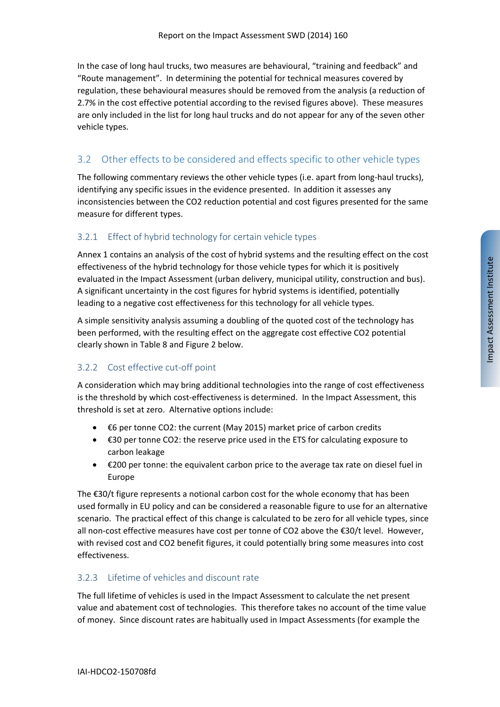In the case of long haul trucks, two measures are behavioural, "training and feedback" and "Route management". In determining the potential for technical measures covered by regulation, these behavioural measures should be removed from the analysis (a reduction of 2.7% in the cost effective potential according to the revised figures above). These measures are only included in the list for long haul trucks and do not appear for any of the seven other vehicle types.

## 3.2 Other effects to be considered and effects specific to other vehicle types

The following commentary reviews the other vehicle types (i.e. apart from long‐haul trucks), identifying any specific issues in the evidence presented. In addition it assesses any inconsistencies between the CO2 reduction potential and cost figures presented for the same measure for different types.

## 3.2.1 Effect of hybrid technology for certain vehicle types

Annex 1 contains an analysis of the cost of hybrid systems and the resulting effect on the cost effectiveness of the hybrid technology for those vehicle types for which it is positively evaluated in the Impact Assessment (urban delivery, municipal utility, construction and bus). A significant uncertainty in the cost figures for hybrid systems is identified, potentially leading to a negative cost effectiveness for this technology for all vehicle types.

A simple sensitivity analysis assuming a doubling of the quoted cost of the technology has been performed, with the resulting effect on the aggregate cost effective CO2 potential clearly shown in Table 8 and Figure 2 below.

### 3.2.2 Cost effective cut‐off point

A consideration which may bring additional technologies into the range of cost effectiveness is the threshold by which cost-effectiveness is determined. In the Impact Assessment, this threshold is set at zero. Alternative options include:

- €6 per tonne CO2: the current (May 2015) market price of carbon credits
- €30 per tonne CO2: the reserve price used in the ETS for calculating exposure to carbon leakage
- €200 per tonne: the equivalent carbon price to the average tax rate on diesel fuel in Europe

The  $\epsilon$ 30/t figure represents a notional carbon cost for the whole economy that has been used formally in EU policy and can be considered a reasonable figure to use for an alternative scenario. The practical effect of this change is calculated to be zero for all vehicle types, since all non-cost effective measures have cost per tonne of CO2 above the €30/t level. However, with revised cost and CO2 benefit figures, it could potentially bring some measures into cost effectiveness.

### 3.2.3 Lifetime of vehicles and discount rate

The full lifetime of vehicles is used in the Impact Assessment to calculate the net present value and abatement cost of technologies. This therefore takes no account of the time value of money. Since discount rates are habitually used in Impact Assessments (for example the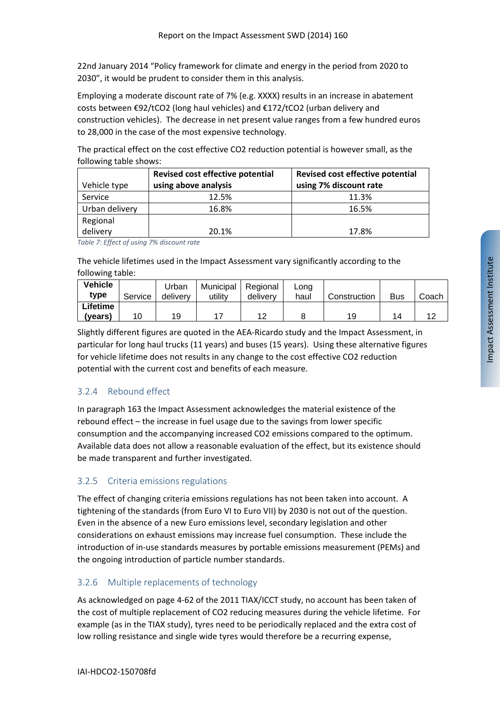22nd January 2014 "Policy framework for climate and energy in the period from 2020 to 2030", it would be prudent to consider them in this analysis.

Employing a moderate discount rate of 7% (e.g. XXXX) results in an increase in abatement costs between €92/tCO2 (long haul vehicles) and €172/tCO2 (urban delivery and construction vehicles). The decrease in net present value ranges from a few hundred euros to 28,000 in the case of the most expensive technology.

The practical effect on the cost effective CO2 reduction potential is however small, as the following table shows:

|                | Revised cost effective potential | Revised cost effective potential |
|----------------|----------------------------------|----------------------------------|
| Vehicle type   | using above analysis             | using 7% discount rate           |
| Service        | 12.5%                            | 11.3%                            |
| Urban delivery | 16.8%                            | 16.5%                            |
| Regional       |                                  |                                  |
| delivery       | 20.1%                            | 17.8%                            |

*Table 7: Effect of using 7% discount rate*

The vehicle lifetimes used in the Impact Assessment vary significantly according to the following table:

| <b>Vehicle</b><br>type | Service | Urban<br>delivery | Municipal<br>utilitv | Regional<br>delivery | Lona<br>haul | Construction | <b>Bus</b> | Coach |
|------------------------|---------|-------------------|----------------------|----------------------|--------------|--------------|------------|-------|
| Lifetime               |         |                   |                      |                      |              |              |            |       |
| (years)                | 10      | 19                |                      |                      |              | 19           | 14         |       |

Slightly different figures are quoted in the AEA‐Ricardo study and the Impact Assessment, in particular for long haul trucks (11 years) and buses (15 years). Using these alternative figures for vehicle lifetime does not results in any change to the cost effective CO2 reduction potential with the current cost and benefits of each measure.

### 3.2.4 Rebound effect

In paragraph 163 the Impact Assessment acknowledges the material existence of the rebound effect – the increase in fuel usage due to the savings from lower specific consumption and the accompanying increased CO2 emissions compared to the optimum. Available data does not allow a reasonable evaluation of the effect, but its existence should be made transparent and further investigated.

### 3.2.5 Criteria emissions regulations

The effect of changing criteria emissions regulations has not been taken into account. A tightening of the standards (from Euro VI to Euro VII) by 2030 is not out of the question. Even in the absence of a new Euro emissions level, secondary legislation and other considerations on exhaust emissions may increase fuel consumption. These include the introduction of in‐use standards measures by portable emissions measurement (PEMs) and the ongoing introduction of particle number standards.

## 3.2.6 Multiple replacements of technology

As acknowledged on page 4‐62 of the 2011 TIAX/ICCT study, no account has been taken of the cost of multiple replacement of CO2 reducing measures during the vehicle lifetime. For example (as in the TIAX study), tyres need to be periodically replaced and the extra cost of low rolling resistance and single wide tyres would therefore be a recurring expense,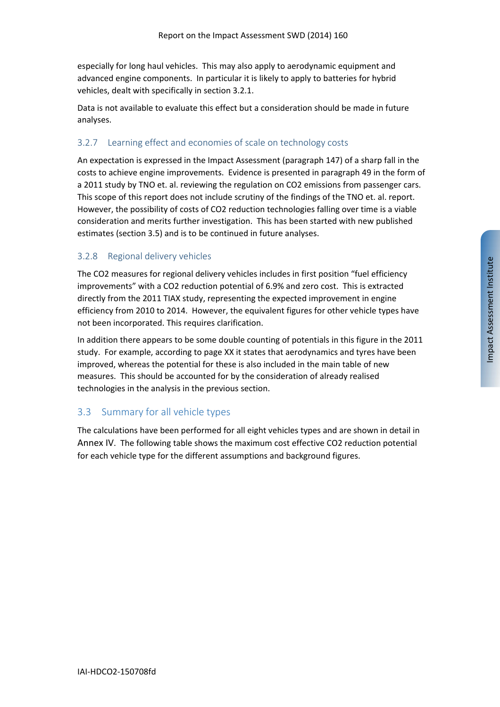especially for long haul vehicles. This may also apply to aerodynamic equipment and advanced engine components. In particular it is likely to apply to batteries for hybrid vehicles, dealt with specifically in section 3.2.1.

Data is not available to evaluate this effect but a consideration should be made in future analyses.

#### 3.2.7 Learning effect and economies of scale on technology costs

An expectation is expressed in the Impact Assessment (paragraph 147) of a sharp fall in the costs to achieve engine improvements. Evidence is presented in paragraph 49 in the form of a 2011 study by TNO et. al. reviewing the regulation on CO2 emissions from passenger cars. This scope of this report does not include scrutiny of the findings of the TNO et. al. report. However, the possibility of costs of CO2 reduction technologies falling over time is a viable consideration and merits further investigation. This has been started with new published estimates (section 3.5) and is to be continued in future analyses.

#### 3.2.8 Regional delivery vehicles

The CO2 measures for regional delivery vehicles includes in first position "fuel efficiency improvements" with a CO2 reduction potential of 6.9% and zero cost. This is extracted directly from the 2011 TIAX study, representing the expected improvement in engine efficiency from 2010 to 2014. However, the equivalent figures for other vehicle types have not been incorporated. This requires clarification.

In addition there appears to be some double counting of potentials in this figure in the 2011 study. For example, according to page XX it states that aerodynamics and tyres have been improved, whereas the potential for these is also included in the main table of new measures. This should be accounted for by the consideration of already realised technologies in the analysis in the previous section.

### 3.3 Summary for all vehicle types

The calculations have been performed for all eight vehicles types and are shown in detail in Annex IV. The following table shows the maximum cost effective CO2 reduction potential for each vehicle type for the different assumptions and background figures.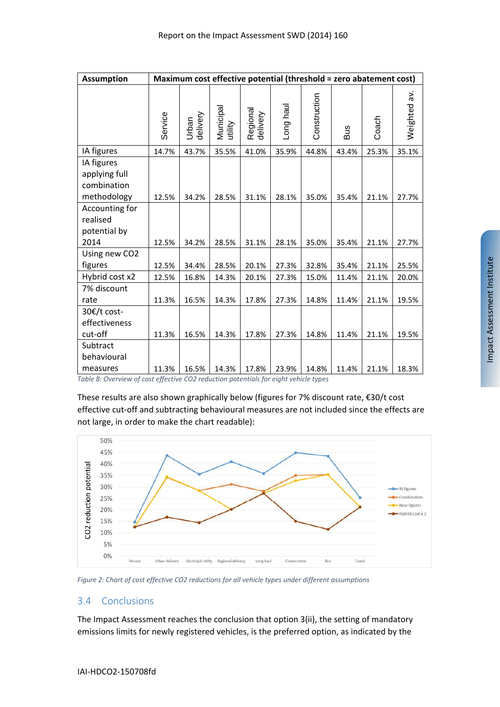| <b>Assumption</b>                                         |         | Maximum cost effective potential (threshold = zero abatement cost) |                      |                      |           |              |       |       |              |
|-----------------------------------------------------------|---------|--------------------------------------------------------------------|----------------------|----------------------|-----------|--------------|-------|-------|--------------|
|                                                           | Service | Urban<br>delivery                                                  | Municipal<br>utility | Regional<br>delivery | Long haul | Construction | Bus   | Coach | Weighted av. |
| IA figures                                                | 14.7%   | 43.7%                                                              | 35.5%                | 41.0%                | 35.9%     | 44.8%        | 43.4% | 25.3% | 35.1%        |
| IA figures<br>applying full<br>combination<br>methodology | 12.5%   | 34.2%                                                              | 28.5%                | 31.1%                | 28.1%     | 35.0%        | 35.4% | 21.1% | 27.7%        |
| Accounting for<br>realised<br>potential by<br>2014        |         |                                                                    |                      |                      |           |              |       |       |              |
|                                                           | 12.5%   | 34.2%                                                              | 28.5%                | 31.1%                | 28.1%     | 35.0%        | 35.4% | 21.1% | 27.7%        |
| Using new CO2<br>figures                                  | 12.5%   | 34.4%                                                              | 28.5%                | 20.1%                | 27.3%     | 32.8%        | 35.4% | 21.1% | 25.5%        |
| Hybrid cost x2                                            | 12.5%   | 16.8%                                                              | 14.3%                | 20.1%                | 27.3%     | 15.0%        | 11.4% | 21.1% | 20.0%        |
| 7% discount<br>rate                                       | 11.3%   | 16.5%                                                              | 14.3%                | 17.8%                | 27.3%     | 14.8%        | 11.4% | 21.1% | 19.5%        |
| 30€/t cost-<br>effectiveness<br>cut-off                   | 11.3%   | 16.5%                                                              | 14.3%                | 17.8%                | 27.3%     | 14.8%        | 11.4% | 21.1% | 19.5%        |
| Subtract<br>behavioural<br>measures                       | 11.3%   | 16.5%                                                              | 14.3%                | 17.8%                | 23.9%     | 14.8%        | 11.4% | 21.1% | 18.3%        |
|                                                           |         |                                                                    |                      |                      |           |              |       |       |              |

*Table 8: Overview of cost effective CO2 reduction potentials for eight vehicle types*

These results are also shown graphically below (figures for 7% discount rate, €30/t cost effective cut-off and subtracting behavioural measures are not included since the effects are not large, in order to make the chart readable):



*Figure 2: Chart of cost effective CO2 reductions for all vehicle types under different assumptions*

#### 3.4 Conclusions

The Impact Assessment reaches the conclusion that option 3(ii), the setting of mandatory emissions limits for newly registered vehicles, is the preferred option, as indicated by the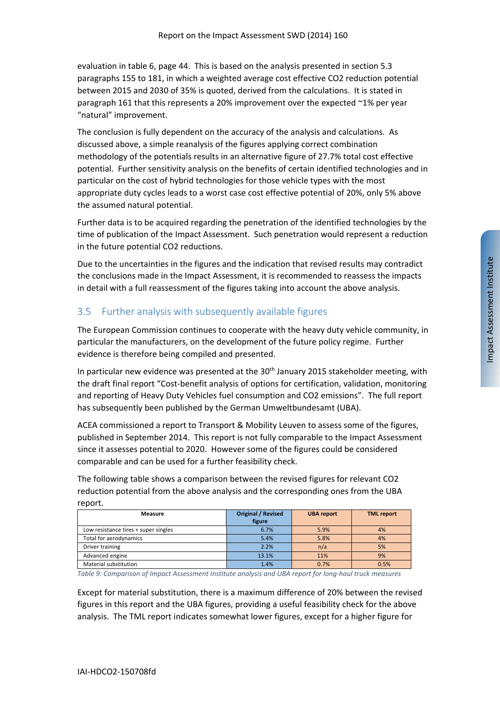evaluation in table 6, page 44. This is based on the analysis presented in section 5.3 paragraphs 155 to 181, in which a weighted average cost effective CO2 reduction potential between 2015 and 2030 of 35% is quoted, derived from the calculations. It is stated in paragraph 161 that this represents a 20% improvement over the expected ~1% per year "natural" improvement.

The conclusion is fully dependent on the accuracy of the analysis and calculations. As discussed above, a simple reanalysis of the figures applying correct combination methodology of the potentials results in an alternative figure of 27.7% total cost effective potential. Further sensitivity analysis on the benefits of certain identified technologies and in particular on the cost of hybrid technologies for those vehicle types with the most appropriate duty cycles leads to a worst case cost effective potential of 20%, only 5% above the assumed natural potential.

Further data is to be acquired regarding the penetration of the identified technologies by the time of publication of the Impact Assessment. Such penetration would represent a reduction in the future potential CO2 reductions.

Due to the uncertainties in the figures and the indication that revised results may contradict the conclusions made in the Impact Assessment, it is recommended to reassess the impacts in detail with a full reassessment of the figures taking into account the above analysis.

## 3.5 Further analysis with subsequently available figures

The European Commission continues to cooperate with the heavy duty vehicle community, in particular the manufacturers, on the development of the future policy regime. Further evidence is therefore being compiled and presented.

In particular new evidence was presented at the 30<sup>th</sup> January 2015 stakeholder meeting, with the draft final report "Cost‐benefit analysis of options for certification, validation, monitoring and reporting of Heavy Duty Vehicles fuel consumption and CO2 emissions". The full report has subsequently been published by the German Umweltbundesamt (UBA).

ACEA commissioned a report to Transport & Mobility Leuven to assess some of the figures, published in September 2014. This report is not fully comparable to the Impact Assessment since it assesses potential to 2020. However some of the figures could be considered comparable and can be used for a further feasibility check.

The following table shows a comparison between the revised figures for relevant CO2 reduction potential from the above analysis and the corresponding ones from the UBA report.

| Measure                              | <b>Original / Revised</b><br>figure | <b>UBA</b> report | <b>TML</b> report |
|--------------------------------------|-------------------------------------|-------------------|-------------------|
| Low resistance tires + super singles | 6.7%                                | 5.9%              | 4%                |
| Total for aerodynamics               | 5.4%                                | 5.8%              | 4%                |
| Driver training                      | 2.2%                                | n/a               | 5%                |
| Advanced engine                      | 13.1%                               | 11%               | 9%                |
| Material substitution                | 1.4%                                | 0.7%              | 0.5%              |

*Table 9: Comparison of Impact Assessment Institute analysis and UBA report for long‐haul truck measures*

Except for material substitution, there is a maximum difference of 20% between the revised figures in this report and the UBA figures, providing a useful feasibility check for the above analysis. The TML report indicates somewhat lower figures, except for a higher figure for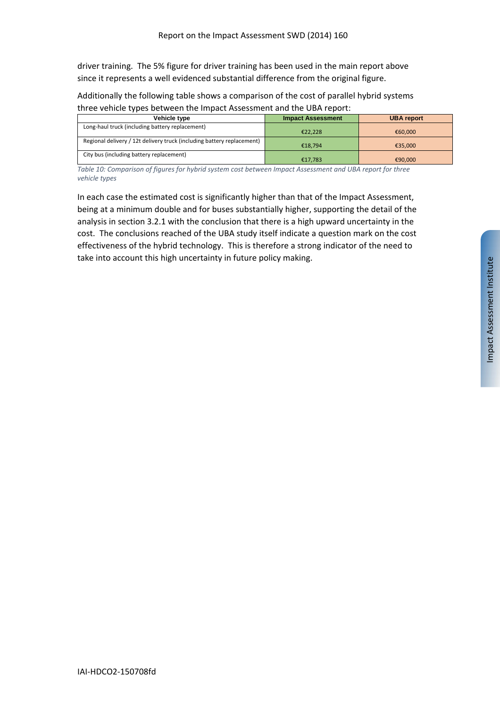driver training. The 5% figure for driver training has been used in the main report above since it represents a well evidenced substantial difference from the original figure.

Additionally the following table shows a comparison of the cost of parallel hybrid systems three vehicle types between the Impact Assessment and the UBA report:

| Vehicle type                                                           | <b>Impact Assessment</b> | <b>UBA report</b> |
|------------------------------------------------------------------------|--------------------------|-------------------|
| Long-haul truck (including battery replacement)                        | €22.228                  | €60,000           |
| Regional delivery / 12t delivery truck (including battery replacement) | €18.794                  | €35.000           |
| City bus (including battery replacement)                               | €17.783                  | €90,000           |

*Table 10: Comparison of figures for hybrid system cost between Impact Assessment and UBA report for three vehicle types*

In each case the estimated cost is significantly higher than that of the Impact Assessment, being at a minimum double and for buses substantially higher, supporting the detail of the analysis in section 3.2.1 with the conclusion that there is a high upward uncertainty in the cost. The conclusions reached of the UBA study itself indicate a question mark on the cost effectiveness of the hybrid technology. This is therefore a strong indicator of the need to take into account this high uncertainty in future policy making.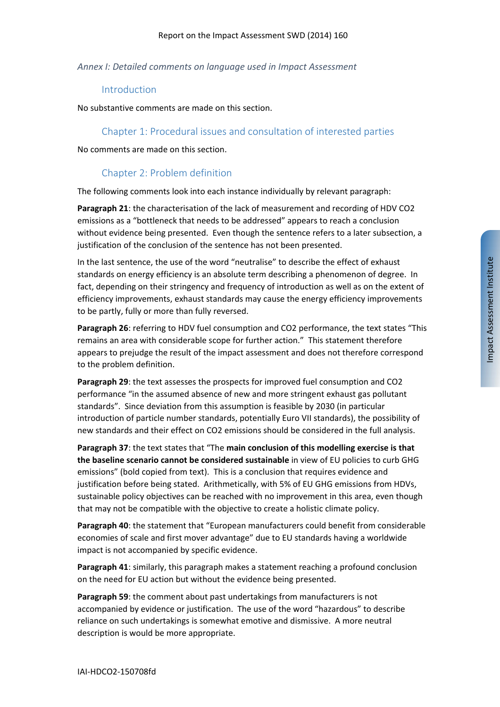#### *Annex I: Detailed comments on language used in Impact Assessment*

#### Introduction

No substantive comments are made on this section.

#### Chapter 1: Procedural issues and consultation of interested parties

No comments are made on this section.

#### Chapter 2: Problem definition

The following comments look into each instance individually by relevant paragraph:

**Paragraph 21**: the characterisation of the lack of measurement and recording of HDV CO2 emissions as a "bottleneck that needs to be addressed" appears to reach a conclusion without evidence being presented. Even though the sentence refers to a later subsection, a justification of the conclusion of the sentence has not been presented.

In the last sentence, the use of the word "neutralise" to describe the effect of exhaust standards on energy efficiency is an absolute term describing a phenomenon of degree. In fact, depending on their stringency and frequency of introduction as well as on the extent of efficiency improvements, exhaust standards may cause the energy efficiency improvements to be partly, fully or more than fully reversed.

**Paragraph 26**: referring to HDV fuel consumption and CO2 performance, the text states "This remains an area with considerable scope for further action." This statement therefore appears to prejudge the result of the impact assessment and does not therefore correspond to the problem definition.

**Paragraph 29**: the text assesses the prospects for improved fuel consumption and CO2 performance "in the assumed absence of new and more stringent exhaust gas pollutant standards". Since deviation from this assumption is feasible by 2030 (in particular introduction of particle number standards, potentially Euro VII standards), the possibility of new standards and their effect on CO2 emissions should be considered in the full analysis.

**Paragraph 37**: the text states that "The **main conclusion of this modelling exercise is that the baseline scenario cannot be considered sustainable** in view of EU policies to curb GHG emissions" (bold copied from text). This is a conclusion that requires evidence and justification before being stated. Arithmetically, with 5% of EU GHG emissions from HDVs, sustainable policy objectives can be reached with no improvement in this area, even though that may not be compatible with the objective to create a holistic climate policy.

**Paragraph 40**: the statement that "European manufacturers could benefit from considerable economies of scale and first mover advantage" due to EU standards having a worldwide impact is not accompanied by specific evidence.

**Paragraph 41**: similarly, this paragraph makes a statement reaching a profound conclusion on the need for EU action but without the evidence being presented.

**Paragraph 59**: the comment about past undertakings from manufacturers is not accompanied by evidence or justification. The use of the word "hazardous" to describe reliance on such undertakings is somewhat emotive and dismissive. A more neutral description is would be more appropriate.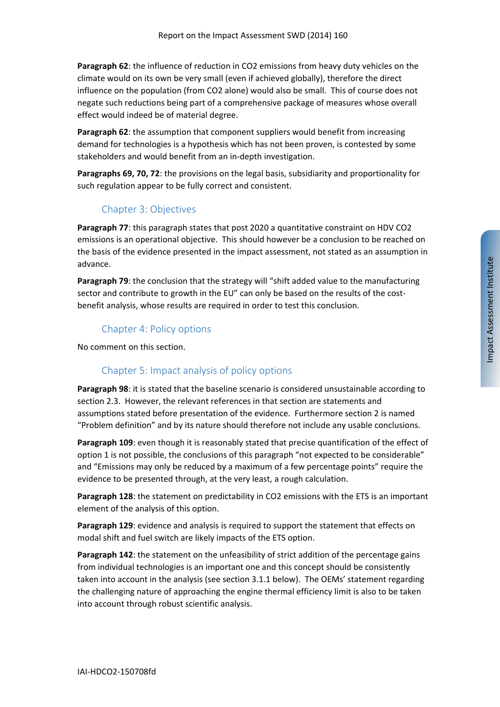**Paragraph 62**: the influence of reduction in CO2 emissions from heavy duty vehicles on the climate would on its own be very small (even if achieved globally), therefore the direct influence on the population (from CO2 alone) would also be small. This of course does not negate such reductions being part of a comprehensive package of measures whose overall effect would indeed be of material degree.

**Paragraph 62**: the assumption that component suppliers would benefit from increasing demand for technologies is a hypothesis which has not been proven, is contested by some stakeholders and would benefit from an in‐depth investigation.

**Paragraphs 69, 70, 72**: the provisions on the legal basis, subsidiarity and proportionality for such regulation appear to be fully correct and consistent.

### Chapter 3: Objectives

**Paragraph 77**: this paragraph states that post 2020 a quantitative constraint on HDV CO2 emissions is an operational objective. This should however be a conclusion to be reached on the basis of the evidence presented in the impact assessment, not stated as an assumption in advance.

**Paragraph 79**: the conclusion that the strategy will "shift added value to the manufacturing sector and contribute to growth in the EU" can only be based on the results of the costbenefit analysis, whose results are required in order to test this conclusion.

## Chapter 4: Policy options

No comment on this section.

## Chapter 5: Impact analysis of policy options

**Paragraph 98**: it is stated that the baseline scenario is considered unsustainable according to section 2.3. However, the relevant references in that section are statements and assumptions stated before presentation of the evidence. Furthermore section 2 is named "Problem definition" and by its nature should therefore not include any usable conclusions.

**Paragraph 109**: even though it is reasonably stated that precise quantification of the effect of option 1 is not possible, the conclusions of this paragraph "not expected to be considerable" and "Emissions may only be reduced by a maximum of a few percentage points" require the evidence to be presented through, at the very least, a rough calculation.

**Paragraph 128**: the statement on predictability in CO2 emissions with the ETS is an important element of the analysis of this option.

**Paragraph 129**: evidence and analysis is required to support the statement that effects on modal shift and fuel switch are likely impacts of the ETS option.

**Paragraph 142**: the statement on the unfeasibility of strict addition of the percentage gains from individual technologies is an important one and this concept should be consistently taken into account in the analysis (see section 3.1.1 below). The OEMs' statement regarding the challenging nature of approaching the engine thermal efficiency limit is also to be taken into account through robust scientific analysis.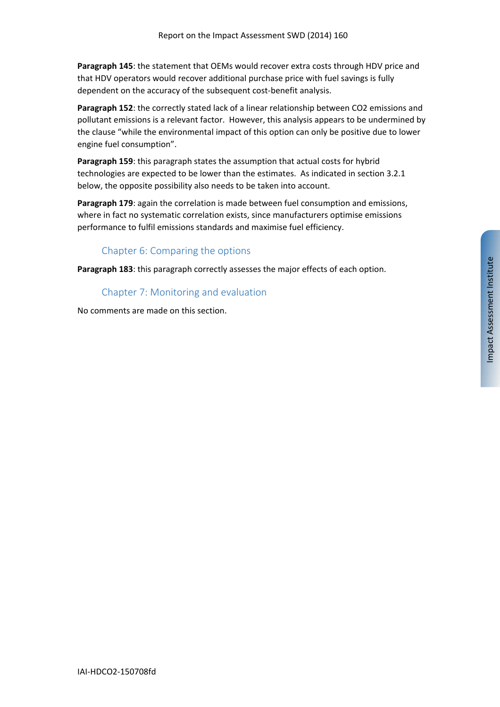**Paragraph 145**: the statement that OEMs would recover extra costs through HDV price and that HDV operators would recover additional purchase price with fuel savings is fully dependent on the accuracy of the subsequent cost‐benefit analysis.

**Paragraph 152**: the correctly stated lack of a linear relationship between CO2 emissions and pollutant emissions is a relevant factor. However, this analysis appears to be undermined by the clause "while the environmental impact of this option can only be positive due to lower engine fuel consumption".

**Paragraph 159**: this paragraph states the assumption that actual costs for hybrid technologies are expected to be lower than the estimates. As indicated in section 3.2.1 below, the opposite possibility also needs to be taken into account.

**Paragraph 179**: again the correlation is made between fuel consumption and emissions, where in fact no systematic correlation exists, since manufacturers optimise emissions performance to fulfil emissions standards and maximise fuel efficiency.

## Chapter 6: Comparing the options

**Paragraph 183**: this paragraph correctly assesses the major effects of each option.

Chapter 7: Monitoring and evaluation

No comments are made on this section.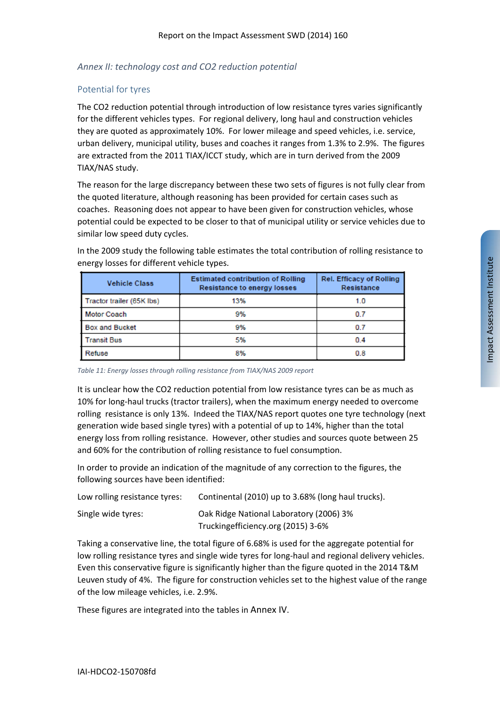#### *Annex II: technology cost and CO2 reduction potential*

#### Potential for tyres

The CO2 reduction potential through introduction of low resistance tyres varies significantly for the different vehicles types. For regional delivery, long haul and construction vehicles they are quoted as approximately 10%. For lower mileage and speed vehicles, i.e. service, urban delivery, municipal utility, buses and coaches it ranges from 1.3% to 2.9%. The figures are extracted from the 2011 TIAX/ICCT study, which are in turn derived from the 2009 TIAX/NAS study.

The reason for the large discrepancy between these two sets of figures is not fully clear from the quoted literature, although reasoning has been provided for certain cases such as coaches. Reasoning does not appear to have been given for construction vehicles, whose potential could be expected to be closer to that of municipal utility or service vehicles due to similar low speed duty cycles.

| <b>Vehicle Class</b>      | <b>Estimated contribution of Rolling</b><br><b>Resistance to energy losses</b> | <b>Rel. Efficacy of Rolling</b><br>Resistance |  |  |
|---------------------------|--------------------------------------------------------------------------------|-----------------------------------------------|--|--|
| Tractor trailer (65K lbs) | 13%                                                                            | 1.0                                           |  |  |
| <b>Motor Coach</b>        | 9%                                                                             | 0.7                                           |  |  |
| <b>Box and Bucket</b>     | 9%                                                                             | 0.7                                           |  |  |
| <b>Transit Bus</b>        | 5%                                                                             | 0.4                                           |  |  |
| Refuse                    | 8%                                                                             | 0.8                                           |  |  |

In the 2009 study the following table estimates the total contribution of rolling resistance to energy losses for different vehicle types.

*Table 11: Energy losses through rolling resistance from TIAX/NAS 2009 report*

It is unclear how the CO2 reduction potential from low resistance tyres can be as much as 10% for long‐haul trucks (tractor trailers), when the maximum energy needed to overcome rolling resistance is only 13%. Indeed the TIAX/NAS report quotes one tyre technology (next generation wide based single tyres) with a potential of up to 14%, higher than the total energy loss from rolling resistance. However, other studies and sources quote between 25 and 60% for the contribution of rolling resistance to fuel consumption.

In order to provide an indication of the magnitude of any correction to the figures, the following sources have been identified:

| Low rolling resistance tyres: | Continental (2010) up to 3.68% (long haul trucks). |
|-------------------------------|----------------------------------------------------|
| Single wide tyres:            | Oak Ridge National Laboratory (2006) 3%            |
|                               | Trucking efficiency.org (2015) 3-6%                |

Taking a conservative line, the total figure of 6.68% is used for the aggregate potential for low rolling resistance tyres and single wide tyres for long-haul and regional delivery vehicles. Even this conservative figure is significantly higher than the figure quoted in the 2014 T&M Leuven study of 4%. The figure for construction vehicles set to the highest value of the range of the low mileage vehicles, i.e. 2.9%.

These figures are integrated into the tables in Annex IV.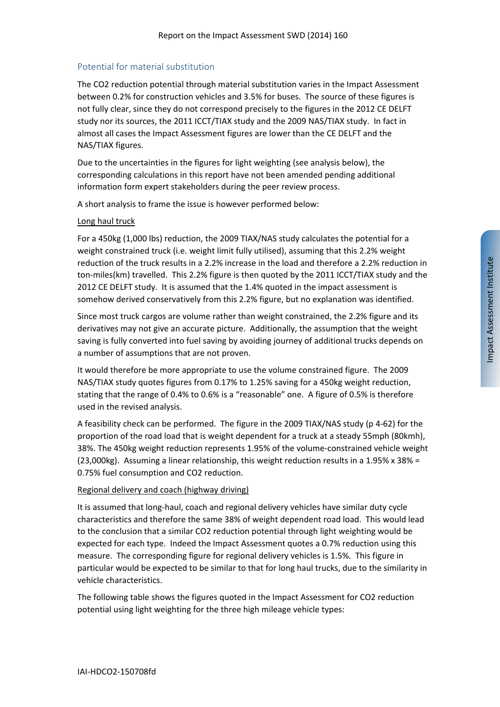#### Potential for material substitution

The CO2 reduction potential through material substitution varies in the Impact Assessment between 0.2% for construction vehicles and 3.5% for buses. The source of these figures is not fully clear, since they do not correspond precisely to the figures in the 2012 CE DELFT study nor its sources, the 2011 ICCT/TIAX study and the 2009 NAS/TIAX study. In fact in almost all cases the Impact Assessment figures are lower than the CE DELFT and the NAS/TIAX figures.

Due to the uncertainties in the figures for light weighting (see analysis below), the corresponding calculations in this report have not been amended pending additional information form expert stakeholders during the peer review process.

A short analysis to frame the issue is however performed below:

#### Long haul truck

For a 450kg (1,000 lbs) reduction, the 2009 TIAX/NAS study calculates the potential for a weight constrained truck (i.e. weight limit fully utilised), assuming that this 2.2% weight reduction of the truck results in a 2.2% increase in the load and therefore a 2.2% reduction in ton‐miles(km) travelled. This 2.2% figure is then quoted by the 2011 ICCT/TIAX study and the 2012 CE DELFT study. It is assumed that the 1.4% quoted in the impact assessment is somehow derived conservatively from this 2.2% figure, but no explanation was identified.

Since most truck cargos are volume rather than weight constrained, the 2.2% figure and its derivatives may not give an accurate picture. Additionally, the assumption that the weight saving is fully converted into fuel saving by avoiding journey of additional trucks depends on a number of assumptions that are not proven.

It would therefore be more appropriate to use the volume constrained figure. The 2009 NAS/TIAX study quotes figures from 0.17% to 1.25% saving for a 450kg weight reduction, stating that the range of 0.4% to 0.6% is a "reasonable" one. A figure of 0.5% is therefore used in the revised analysis.

A feasibility check can be performed. The figure in the 2009 TIAX/NAS study (p 4‐62) for the proportion of the road load that is weight dependent for a truck at a steady 55mph (80kmh), 38%. The 450kg weight reduction represents 1.95% of the volume‐constrained vehicle weight (23,000kg). Assuming a linear relationship, this weight reduction results in a 1.95% x 38% = 0.75% fuel consumption and CO2 reduction.

#### Regional delivery and coach (highway driving)

It is assumed that long‐haul, coach and regional delivery vehicles have similar duty cycle characteristics and therefore the same 38% of weight dependent road load. This would lead to the conclusion that a similar CO2 reduction potential through light weighting would be expected for each type. Indeed the Impact Assessment quotes a 0.7% reduction using this measure. The corresponding figure for regional delivery vehicles is 1.5%. This figure in particular would be expected to be similar to that for long haul trucks, due to the similarity in vehicle characteristics.

The following table shows the figures quoted in the Impact Assessment for CO2 reduction potential using light weighting for the three high mileage vehicle types: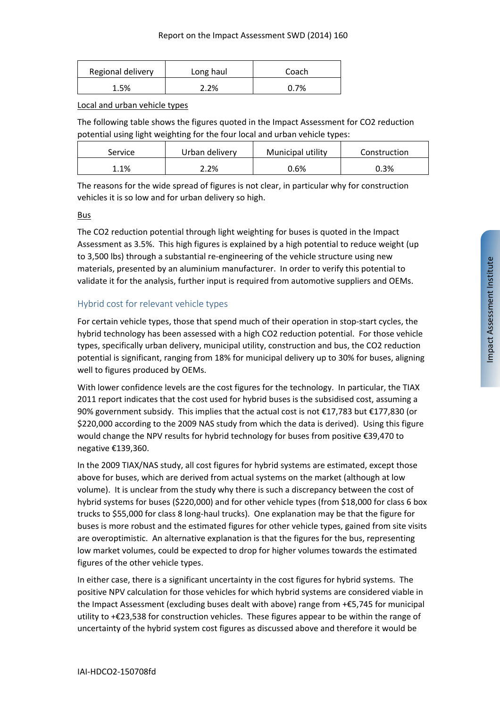| Regional delivery | Long haul | Coach |
|-------------------|-----------|-------|
| 1.5%              | 2.2%      | 7%    |

Local and urban vehicle types

The following table shows the figures quoted in the Impact Assessment for CO2 reduction potential using light weighting for the four local and urban vehicle types:

| Service | Urban delivery | Municipal utility | Construction |
|---------|----------------|-------------------|--------------|
| 1.1%    | 2.2%           | 0.6%              | 0.3%         |

The reasons for the wide spread of figures is not clear, in particular why for construction vehicles it is so low and for urban delivery so high.

#### Bus

The CO2 reduction potential through light weighting for buses is quoted in the Impact Assessment as 3.5%. This high figures is explained by a high potential to reduce weight (up to 3,500 lbs) through a substantial re‐engineering of the vehicle structure using new materials, presented by an aluminium manufacturer. In order to verify this potential to validate it for the analysis, further input is required from automotive suppliers and OEMs.

#### Hybrid cost for relevant vehicle types

For certain vehicle types, those that spend much of their operation in stop-start cycles, the hybrid technology has been assessed with a high CO2 reduction potential. For those vehicle types, specifically urban delivery, municipal utility, construction and bus, the CO2 reduction potential is significant, ranging from 18% for municipal delivery up to 30% for buses, aligning well to figures produced by OEMs.

With lower confidence levels are the cost figures for the technology. In particular, the TIAX 2011 report indicates that the cost used for hybrid buses is the subsidised cost, assuming a 90% government subsidy. This implies that the actual cost is not €17,783 but €177,830 (or \$220,000 according to the 2009 NAS study from which the data is derived). Using this figure would change the NPV results for hybrid technology for buses from positive €39,470 to negative €139,360.

In the 2009 TIAX/NAS study, all cost figures for hybrid systems are estimated, except those above for buses, which are derived from actual systems on the market (although at low volume). It is unclear from the study why there is such a discrepancy between the cost of hybrid systems for buses (\$220,000) and for other vehicle types (from \$18,000 for class 6 box trucks to \$55,000 for class 8 long‐haul trucks). One explanation may be that the figure for buses is more robust and the estimated figures for other vehicle types, gained from site visits are overoptimistic. An alternative explanation is that the figures for the bus, representing low market volumes, could be expected to drop for higher volumes towards the estimated figures of the other vehicle types.

In either case, there is a significant uncertainty in the cost figures for hybrid systems. The positive NPV calculation for those vehicles for which hybrid systems are considered viable in the Impact Assessment (excluding buses dealt with above) range from +€5,745 for municipal utility to +€23,538 for construction vehicles. These figures appear to be within the range of uncertainty of the hybrid system cost figures as discussed above and therefore it would be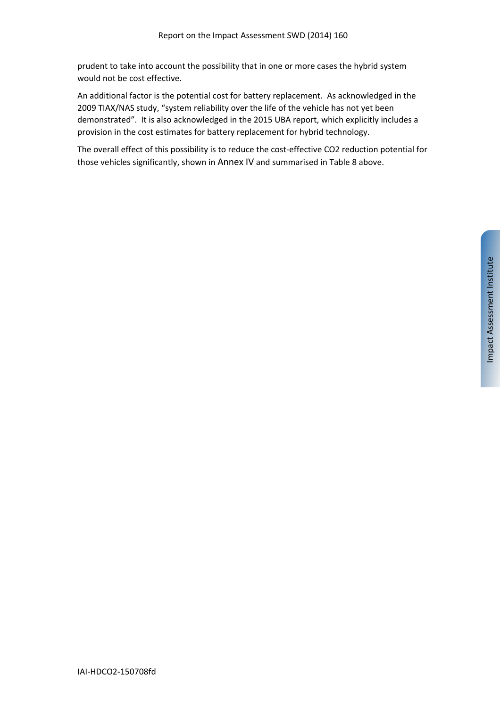prudent to take into account the possibility that in one or more cases the hybrid system would not be cost effective.

An additional factor is the potential cost for battery replacement. As acknowledged in the 2009 TIAX/NAS study, "system reliability over the life of the vehicle has not yet been demonstrated". It is also acknowledged in the 2015 UBA report, which explicitly includes a provision in the cost estimates for battery replacement for hybrid technology.

The overall effect of this possibility is to reduce the cost-effective CO2 reduction potential for those vehicles significantly, shown in Annex IV and summarised in Table 8 above.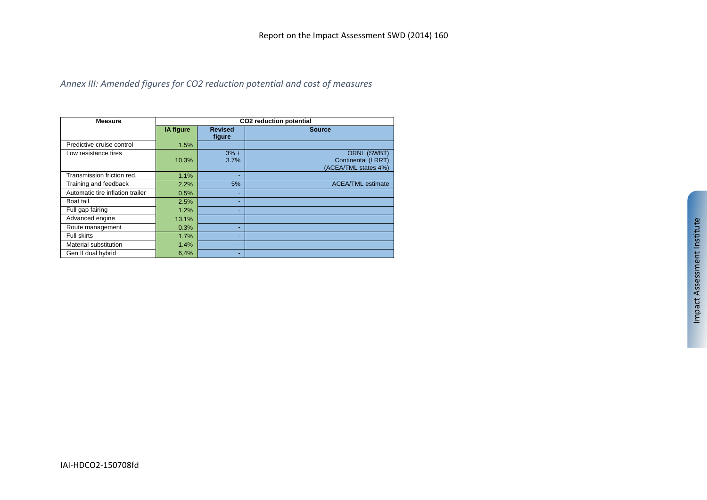#### *Annex III: Amended figures for CO2 reduction potential and cost of measures*

| <b>Measure</b>                   |                  |                          | CO2 reduction potential                                          |
|----------------------------------|------------------|--------------------------|------------------------------------------------------------------|
|                                  | <b>IA figure</b> | <b>Revised</b><br>figure | <b>Source</b>                                                    |
| Predictive cruise control        | 1.5%             | ۰                        |                                                                  |
| Low resistance tires             | 10.3%            | $3% +$<br>3.7%           | <b>ORNL (SWBT)</b><br>Continental (LRRT)<br>(ACEA/TML states 4%) |
| Transmission friction red.       | 1.1%             | ٠                        |                                                                  |
| Training and feedback            | 2.2%             | 5%                       | <b>ACEA/TML</b> estimate                                         |
| Automatic tire inflation trailer | 0.5%             | ۰                        |                                                                  |
| Boat tail                        | 2.5%             | ۰                        |                                                                  |
| Full gap fairing                 | 1.2%             | ٠                        |                                                                  |
| Advanced engine                  | 13.1%            |                          |                                                                  |
| Route management                 | 0.3%             | ۰                        |                                                                  |
| Full skirts                      | 1.7%             | ۰                        |                                                                  |
| Material substitution            | 1.4%             | ٠                        |                                                                  |
| Gen II dual hybrid               | 6,4%             | ٠                        |                                                                  |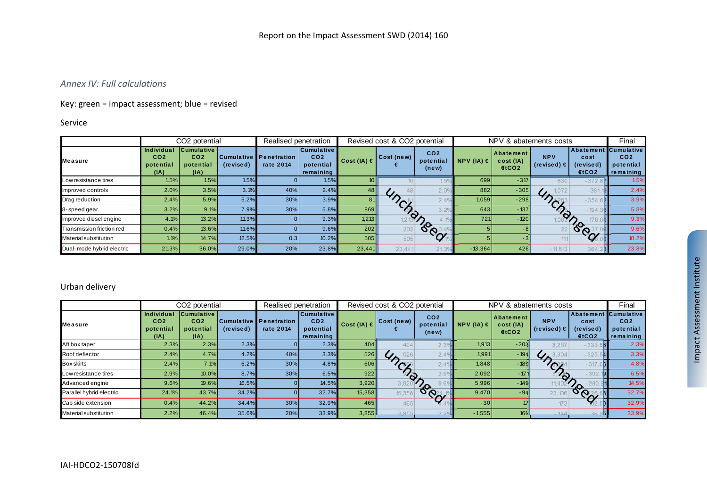#### *Annex IV: Full calculations*

#### Key: green <sup>=</sup> impact assessment; blue <sup>=</sup> revised

#### Service

|                            |                                                           | CO2 potential                                             |           | Realised penetration                       |                                                                | Revised cost & CO2 potential |               |                                       | NPV & abatements costs |                                                    |                               |                                        | Final                                                          |
|----------------------------|-----------------------------------------------------------|-----------------------------------------------------------|-----------|--------------------------------------------|----------------------------------------------------------------|------------------------------|---------------|---------------------------------------|------------------------|----------------------------------------------------|-------------------------------|----------------------------------------|----------------------------------------------------------------|
| <b>Measure</b>             | <b>Individual</b><br>CO <sub>2</sub><br>potential<br>(IA) | <b>Cumulative</b><br>CO <sub>2</sub><br>potential<br>(IA) | (revised) | <b>Cumulative Penetration</b><br>rate 2014 | <b>Cumulative</b><br>CO <sub>2</sub><br>potential<br>remaining | Cost (IA) $\in$              | Cost (new)    | CO <sub>2</sub><br>potential<br>(new) | NPV (IA) $\in$         | <b>Abatement</b><br>cost (IA)<br>€tCO <sub>2</sub> | <b>NPV</b><br>(revised) $\in$ | Abatement<br>cost<br>(revised)<br>ECO2 | <b>Cumulative</b><br>CO <sub>2</sub><br>potential<br>remaining |
| Low resistance tires       | 1.5%                                                      | 1.5%                                                      | 1.5%      |                                            | 1.5%                                                           |                              |               |                                       | 699                    | $-317$                                             | 830                           | $-372.$                                | 1.5%                                                           |
| Improved controls          | 2.0%                                                      | 3.5%                                                      | 3.1%      | 40%                                        | 2.4%                                                           | 48 II                        |               |                                       | 882                    | $-305$                                             |                               | $-36'$                                 | 2.4%                                                           |
| Drag reduction             | 2.4%                                                      | 5.9%                                                      | 5.2%      | 30%                                        | 3.9%                                                           | 81                           |               |                                       | 1,059                  | $-298$                                             | $\sim$                        | $-354.$                                | 3.9%                                                           |
| 8-speed gear               | 3.2%                                                      | 9.1%                                                      | 7.9%      | 30%                                        | 5.8%                                                           | 869                          | <sup>Ch</sup> |                                       | 643                    | $-137$                                             |                               | $-194$                                 | 5.8%                                                           |
| Improved diesel engine     | 4.1%                                                      | 13.2%                                                     | 11.3%     |                                            | 9.3%                                                           | 1,213                        |               |                                       | 721                    | $-120$                                             |                               |                                        | 9.3%                                                           |
| Transmission friction red  | 0.4%                                                      | 13.6%                                                     | 11.6%     |                                            | 9.6%                                                           | 202                          | 202           | <b>SPO</b>                            |                        |                                                    |                               | $\delta_{\infty}^{\circ}$              | 9.6%                                                           |
| Material substitution      | 1.1%                                                      | 14.7%                                                     | 12.5%     | 0.3                                        | 10.2%                                                          | 505                          | 505           |                                       |                        |                                                    |                               |                                        | 10.2%                                                          |
| Dual- mode hybrid electric | 21.3%                                                     | 36.0%                                                     | 29.0%     | 20%                                        | 23.8%                                                          | 23,441                       | 23,441        | 213                                   | $-13,364$              | 426                                                | $-11,513$                     | 364                                    | 23.8%                                                          |

#### Urban delivery

|                          |                                                    | CO2 potential                                             |           | Realised penetration                       |                                                                |                 | Revised cost & CO2 potential       |                                       | NPV & abatements costs |                                |                                      |                                                    | Final                                     |
|--------------------------|----------------------------------------------------|-----------------------------------------------------------|-----------|--------------------------------------------|----------------------------------------------------------------|-----------------|------------------------------------|---------------------------------------|------------------------|--------------------------------|--------------------------------------|----------------------------------------------------|-------------------------------------------|
| <b>Measure</b>           | Individual<br>CO <sub>2</sub><br>potential<br>(IA) | <b>Cumulative</b><br>CO <sub>2</sub><br>potential<br>(IA) | (revised) | <b>Cumulative Penetration</b><br>rate 2014 | <b>Cumulative</b><br>CO <sub>2</sub><br>potential<br>remaining | Cost (IA) $\in$ | Cost (new)                         | CO <sub>2</sub><br>potential<br>(new) | NPV (IA) $\in$         | Abatement<br>cost (IA)<br>ECO2 | <b>NPV</b><br>(revised) $\epsilon$   | Abatement Cumulative<br>cost<br>(revised)<br>€tCO2 | CO <sub>2</sub><br>potential<br>remaining |
| Aft box taper            | 2.3%                                               | 2.3%                                                      | 2.3%      |                                            | 2.3%                                                           | 404             | 404                                |                                       | 1,913                  | $-203$                         | 3.267                                | $-335.$                                            | 2.3%                                      |
| Roof deflector           | 2.4%                                               | 4.7%                                                      | 4.2%      | 40%                                        | 3.3%                                                           | 526             | 526<br>$\mathcal{G}_{\mathcal{D}}$ |                                       | 1,991                  | $-194$                         | 3,304<br>$\mathcal{L}_{\mathcal{F}}$ | $-325.$                                            | 3.3%                                      |
| <b>Box skirts</b>        | 2.4%                                               | 7.1%                                                      | 6.2%      | 30%                                        | 4.8%                                                           | 606             | $\alpha$                           |                                       | 1,848                  | $-185$                         |                                      | $-317.66$                                          | 4.8%                                      |
| Low resistance tires     | 2.9%                                               | 10.0%                                                     | 8.7%      | 30%                                        | 6.5%                                                           | 922             | $\mathcal{L}_{\mathcal{D}}$        |                                       | 2,092                  | $-171$                         | 93                                   | $-302$                                             | 6.5%                                      |
| Advanced engine          | 9.6%                                               | 19.6%                                                     | 16.5%     |                                            | 14.5%                                                          | 3,920           | 3.91                               |                                       | 5,996                  | $-149$                         |                                      |                                                    | 14.5%                                     |
| Parallel hybrid electric | 24.1%                                              | 43.7%                                                     | 34.2%     |                                            | 32.7%                                                          | 15,358          | 15,358                             | <b>CON</b>                            | 9,470                  | $-94$                          |                                      | <b>POOL</b>                                        | 32.7%                                     |
| Cab side extension       | 0.4%                                               | 44.2%                                                     | 34.4%     | 30%                                        | 32.9%                                                          | 465             | 465                                |                                       | $-30$                  |                                | 173.                                 |                                                    | 32.9%                                     |
| Material substitution    | 2.2%                                               | 46.4%                                                     | 35.6%     | 20%                                        | 33.9%                                                          | 3,855           | 3,8551                             |                                       | $-1,555$               | 166                            | 344                                  | 36L                                                | 33.9%                                     |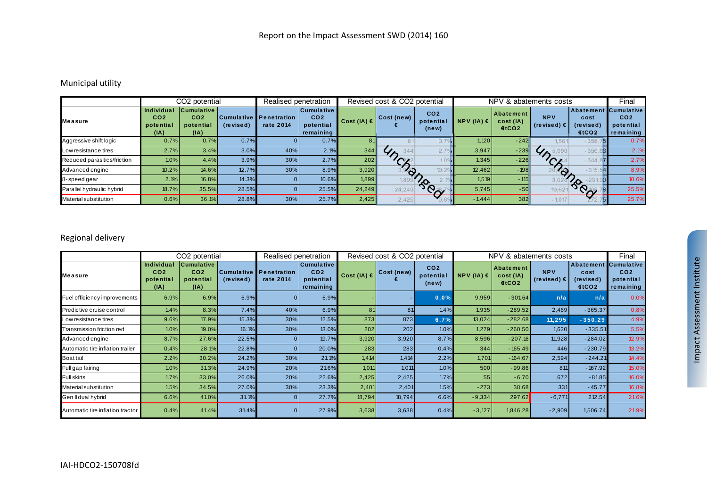#### Municipal utility

|                             |                                                    | CO <sub>2</sub> potential                                 |           | Realised penetration                       |                                                                |                 | Revised cost & CO2 potential |                                       | NPV & abatements costs | Final                            |                               |                                                     |                                           |
|-----------------------------|----------------------------------------------------|-----------------------------------------------------------|-----------|--------------------------------------------|----------------------------------------------------------------|-----------------|------------------------------|---------------------------------------|------------------------|----------------------------------|-------------------------------|-----------------------------------------------------|-------------------------------------------|
| <b>Measure</b>              | Individual<br>CO <sub>2</sub><br>potential<br>(IA) | <b>Cumulative</b><br>CO <sub>2</sub><br>potential<br>(IA) | (revised) | <b>Cumulative Penetration</b><br>rate 2014 | <b>Cumulative</b><br>CO <sub>2</sub><br>potential<br>remaining | Cost (IA) $\in$ | Cost (new)                   | CO <sub>2</sub><br>potential<br>(new) | NPV (IA) $\in$         | l Abatement<br>cost (IA)<br>ECO2 | <b>NPV</b><br>$(revised) \in$ | Abatement Cumulative<br>cost<br>(revised)<br>f(CO2) | CO <sub>2</sub><br>potential<br>remaining |
| Aggressive shift logic      | 0.7%                                               | 0.7%                                                      | 0.7%      |                                            | 0.7%                                                           | 81              |                              |                                       | 1,120                  | $-242$                           | 561                           | $-358.7$                                            | 0.7%                                      |
| Low resistance tires        | 2.7%                                               | 3.4%                                                      | 3.0%      | 40%                                        | 2.1%                                                           | 344             | 344                          |                                       | 3.947                  | $-239$                           |                               | $-356.$                                             | 2.1%                                      |
| Reduced parasitics/friction | 1.0%                                               | 4.4%                                                      | 3.9%      | 30%                                        | 2.7%                                                           | 202             |                              |                                       | 1,345                  | $-226$                           |                               | $-344.8$                                            | 2.7%                                      |
| Advanced engine             | 10.2%                                              | 14.6%                                                     | 12.7%     | 30%                                        | 8.9%                                                           | 3,920           | $\bm{\varphi}$               |                                       | 12.462                 | $-198$                           | $\odot$ .                     | $-315.$                                             | 8.9%                                      |
| 8-speed gear                | 2.1%                                               | 16.8%                                                     | 14.3%     |                                            | 10.6%                                                          | 1,899           |                              |                                       | 1,519                  | $-115$                           |                               | $\infty$                                            | 10.6%                                     |
| Parallel hydraulic hybrid   | 18.7%                                              | 35.5%                                                     | 28.5%     |                                            | 25.5%                                                          | 24,249          | 24,249                       | ROCK                                  | 5,745                  | $-50$                            | 19,62                         | $\sim$                                              | 25.5%                                     |
| Material substitution       | 0.6%                                               | 36.1%                                                     | 28.8%     | 30%                                        | 25.7%                                                          | 2,425           | 2.425                        |                                       | $-1.444$               | 382                              | $-1.017$                      |                                                     | 25.7%                                     |

### Regional delivery

|                                  |                                                           | CO <sub>2</sub> potential                                 |                                | Realised penetration            |                                                                | Revised cost & CO2 potential |            |                                       |                | NPV & abatements costs                 |                                    |                                                             | Final                                     |
|----------------------------------|-----------------------------------------------------------|-----------------------------------------------------------|--------------------------------|---------------------------------|----------------------------------------------------------------|------------------------------|------------|---------------------------------------|----------------|----------------------------------------|------------------------------------|-------------------------------------------------------------|-------------------------------------------|
| <b>Measure</b>                   | <b>Individual</b><br>CO <sub>2</sub><br>potential<br>(IA) | <b>Cumulative</b><br>CO <sub>2</sub><br>potential<br>(IA) | <b>Cumulative</b><br>(revised) | <b>Penetration</b><br>rate 2014 | <b>Cumulative</b><br>CO <sub>2</sub><br>potential<br>remaining | Cost (IA) $\in$              | Cost (new) | CO <sub>2</sub><br>potential<br>(new) | NPV (IA) $\in$ | Abatement<br>cost (IA)<br><b>€tCO2</b> | <b>NPV</b><br>(revised) $\epsilon$ | Abatement Cumulative<br>cost<br>(re vise d)<br><b>∉tCO2</b> | CO <sub>2</sub><br>potential<br>remaining |
| Fuel efficiency improvements     | 6.9%                                                      | 6.9%                                                      | 6.9%                           |                                 | 6.9%                                                           |                              |            | 0.0%                                  | 9,959          | $-301.64$                              | n/a                                | n/a                                                         | 0.0%                                      |
| Predictive cruise control        | 1.4%                                                      | 8.3%                                                      | 7.4%                           | 40%                             | 6.9%                                                           | 81                           | 81         | 1.4%                                  | 1,935          | $-289.52$                              | 2,469                              | $-365.37$                                                   | 0.8%                                      |
| Low resistance tires             | 9.6%                                                      | 17.9%                                                     | 15.3%                          | 30%                             | 12.5%                                                          | 873                          | 873        | 6.7%                                  | 13,024         | $-282.68$                              | 11,295                             | $-350.29$                                                   | 4.9%                                      |
| Transmission friction red        | 1.0%                                                      | 19.0%                                                     | 16.1%                          | 30%                             | 13.0%                                                          | 202                          | 202        | 1.0%                                  | 1,279          | $-260.50$                              | 1,620                              | $-335.51$                                                   | 5.5%                                      |
| Advanced engine                  | 8.7%                                                      | 27.6%                                                     | 22.5%                          |                                 | 19.7%                                                          | 3,920                        | 3,920      | 8.7%                                  | 8,596          | $-207.16$                              | 11,928                             | $-284.02$                                                   | 12.9%                                     |
| Automatic tire inflation trailer | 0.4%                                                      | 28.1%                                                     | 22.8%                          |                                 | 20.0%                                                          | 283                          | 283        | 0.4%                                  | 344            | $-165.49$                              | 446                                | $-230.79$                                                   | 13.2%                                     |
| <b>Boat tail</b>                 | 2.2%                                                      | 30.2%                                                     | 24.2%                          | 30%                             | 21.1%                                                          | 1,414                        | 1.414      | 2.2%                                  | 1,701          | $-164.67$                              | 2,594                              | $-244.21$                                                   | 14.4%                                     |
| Full gap fairing                 | 1.0%                                                      | 31.3%                                                     | 24.9%                          | 20%                             | 21.6%                                                          | 1,011                        | 1,011      | 1.0%                                  | 500            | $-99.86$                               | 811                                | $-167.92$                                                   | 15.0%                                     |
| <b>Full skirts</b>               | 1.7%                                                      | 33.0%                                                     | 26.0%                          | 20%                             | 22.6%                                                          | 2,425                        | 2,425      | 1.7%                                  | 55             | $-6.70$                                | 672                                | $-81.85$                                                    | 16.0%                                     |
| Material substitution            | 1.5%                                                      | 34.5%                                                     | 27.0%                          | 30%                             | 23.3%                                                          | 2,401                        | 2,401      | 1.5%                                  | $-273$         | 38.68                                  | 331                                | $-45.77$                                                    | 16.8%                                     |
| Gen II dual hybrid               | 6.6%                                                      | 41.0%                                                     | 31.1%                          |                                 | 27.7%                                                          | 18,794                       | 18,794     | 6.6%                                  | $-9,334$       | 297.62                                 | $-6,771$                           | 212.54                                                      | 21.6%                                     |
| Automatic tire inflation tractor | 0.4%                                                      | 41.4%                                                     | 31.4%                          |                                 | 27.9%                                                          | 3,638                        | 3,638      | 0.4%                                  | $-3,127$       | 1,846.28                               | $-2,909$                           | 1,506.74                                                    | 21.9%                                     |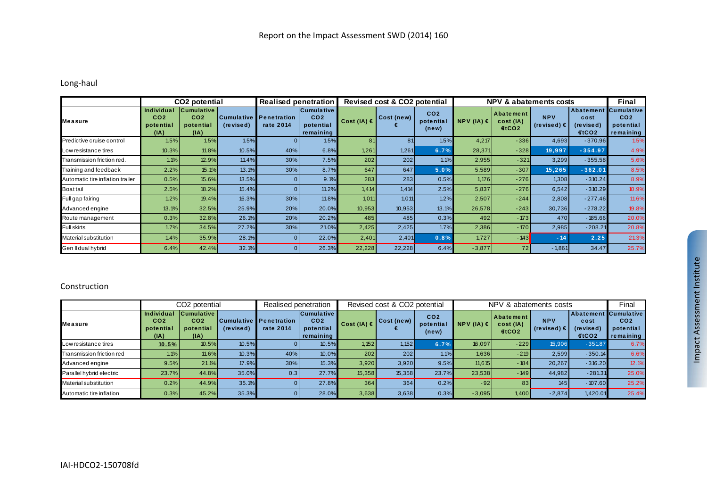#### Long‐haul

|                                  |                                                           | CO <sub>2</sub> potential                                 |                                   | <b>Realised penetration</b>     |                                                                | Revised cost & CO <sub>2</sub> potential |            |                                       | <b>NPV &amp; abatements costs</b> | <b>Final</b>                           |                                    |                                                  |                                                                |
|----------------------------------|-----------------------------------------------------------|-----------------------------------------------------------|-----------------------------------|---------------------------------|----------------------------------------------------------------|------------------------------------------|------------|---------------------------------------|-----------------------------------|----------------------------------------|------------------------------------|--------------------------------------------------|----------------------------------------------------------------|
| <b>Measure</b>                   | <b>Individual</b><br>CO <sub>2</sub><br>potential<br>(IA) | <b>Cumulative</b><br>CO <sub>2</sub><br>potential<br>(IA) | <b>Cumulative</b> II<br>(revised) | <b>Penetration</b><br>rate 2014 | <b>Cumulative</b><br>CO <sub>2</sub><br>potential<br>remaining | Cost (IA) $\in$                          | Cost (new) | CO <sub>2</sub><br>potential<br>(new) | NPV (IA) $\in$                    | Abatement<br>cost (IA)<br><b>€tCO2</b> | <b>NPV</b><br>(revised) $\epsilon$ | Abatement<br>cost<br>(re vise d)<br><b>€tCO2</b> | <b>Cumulative</b><br>CO <sub>2</sub><br>potential<br>remaining |
| Predictive cruise control        | 1.5%                                                      | 1.5%                                                      | 1.5%                              |                                 | 1.5%                                                           | 81                                       | 81         | 1.5%                                  | 4,217                             | $-336$                                 | 4,693                              | $-370.96$                                        | 1.5%                                                           |
| Low resistance tires             | 10.3%                                                     | 11.8%                                                     | 10.5%                             | 40%                             | 6.8%                                                           | 1,261                                    | 1,261      | 6.7%                                  | 28,371                            | $-328$                                 | 19,997                             | $-354.97$                                        | 4.9%                                                           |
| Transmission friction red.       | 1.1%                                                      | 12.9%                                                     | 11.4%                             | 30%                             | 7.5%                                                           | 202                                      | 202        | 1.1%                                  | 2,955                             | $-321$                                 | 3,299                              | $-355.58$                                        | 5.6%                                                           |
| Training and feedback            | 2.2%                                                      | 15.1%                                                     | 13.1%                             | 30%                             | 8.7%                                                           | 647                                      | 647        | 5.0%                                  | 5,589                             | $-307$                                 | 15,265                             | $-362.01$                                        | 8.5%                                                           |
| Automatic tire inflation trailer | 0.5%                                                      | 15.6%                                                     | 13.5%                             |                                 | 9.1%                                                           | 283                                      | 283        | 0.5%                                  | 1,176                             | $-276$                                 | 1,308                              | $-310.24$                                        | 8.9%                                                           |
| <b>Boat tail</b>                 | 2.5%                                                      | 18.2%                                                     | 15.4%                             |                                 | 11.2%                                                          | 1,414                                    | 1.414      | 2.5%                                  | 5,837                             | $-276$                                 | 6,542                              | $-310.29$                                        | 10.9%                                                          |
| Full gap fairing                 | 1.2%                                                      | 19.4%                                                     | 16.3%                             | 30%                             | 11.8%                                                          | 1.011                                    | 1.011      | 1.2%                                  | 2,507                             | $-244$                                 | 2,808                              | $-277.46$                                        | 11.6%                                                          |
| Advanced engine                  | 13.1%                                                     | 32.5%                                                     | 25.9%                             | 20%                             | 20.0%                                                          | 10,953                                   | 10,953     | 13.1%                                 | 26,578                            | $-243$                                 | 30,736                             | $-278.22$                                        | 19.8%                                                          |
| Route management                 | 0.3%                                                      | 32.8%                                                     | 26.1%                             | 20%                             | 20.2%                                                          | 485                                      | 485        | 0.3%                                  | 492                               | $-173$                                 | 470                                | $-185.66$                                        | 20.0%                                                          |
| <b>Full skirts</b>               | 1.7%                                                      | 34.5%                                                     | 27.2%                             | 30%                             | 21.0%                                                          | 2,425                                    | 2,425      | 1.7%                                  | 2,386                             | $-170$                                 | 2,985                              | $-208.21$                                        | 20.8%                                                          |
| <b>Material substitution</b>     | 1.4%                                                      | 35.9%                                                     | 28.1%                             |                                 | 22.0%                                                          | 2,401                                    | 2,401      | 0.8%                                  | 1,727                             | $-143$                                 | $-14$                              | 2.25                                             | 21.3%                                                          |
| Gen II dual hybrid               | 6.4%                                                      | 42.4%                                                     | 32.1%                             |                                 | 26.3%                                                          | 22,228                                   | 22,228     | 6.4%                                  | $-3,877$                          | 72                                     | $-1,861$                           | 34.47                                            | 25.7%                                                          |

#### Construction

|                              |                                                           | CO2 potential                                             |           | Realised penetration                       |                                                                |                 | Revised cost & CO2 potential |                                       | NPV & abatements costs | Final                                              |                                    |                                                   |                                           |
|------------------------------|-----------------------------------------------------------|-----------------------------------------------------------|-----------|--------------------------------------------|----------------------------------------------------------------|-----------------|------------------------------|---------------------------------------|------------------------|----------------------------------------------------|------------------------------------|---------------------------------------------------|-------------------------------------------|
| <b>Measure</b>               | <b>Individual</b><br>CO <sub>2</sub><br>potential<br>(IA) | <b>Cumulative</b><br>CO <sub>2</sub><br>potential<br>(IA) | (revised) | <b>Cumulative Penetration</b><br>rate 2014 | <b>Cumulative</b><br>CO <sub>2</sub><br>potential<br>remaining | Cost (IA) $\in$ | Cost(new)                    | CO <sub>2</sub><br>potential<br>(new) | $NPV (IA) \in$         | <b>Abatement</b><br>cost (IA)<br>€tCO <sub>2</sub> | <b>NPV</b><br>(revised) $\epsilon$ | Abatement Cumulative<br>cost<br>(revised)<br>ECO2 | CO <sub>2</sub><br>potential<br>remaining |
| Low resistance tires         | 10.5%                                                     | 10.5%                                                     | 10.5%     |                                            | 10.5%                                                          | 1,152           | 1,152                        | 6.7%                                  | 16,097                 | $-229$                                             | 15,906                             | $-351.87$                                         | 6.7%                                      |
| Transmission friction red    | 1.1%                                                      | 11.6%                                                     | 10.3%     | 40%                                        | 10.0%                                                          | 202             | 202                          | 1.1%                                  | 1,636                  | $-219$                                             | 2,599                              | $-350.14$                                         | 6.6%                                      |
| Advanced engine              | 9.5%                                                      | 21.1%                                                     | 17.9%     | 30%                                        | 15.3%                                                          | 3,920           | 3.920                        | 9.5%                                  | 11,615                 | $-184$                                             | 20.267                             | $-316.20$                                         | 12.1%                                     |
| Parallel hybrid electric     | 23.7%                                                     | 44.8%                                                     | 35.0%     | 0.3                                        | 27.7%                                                          | 15,358          | 15,358                       | 23.7%                                 | 23,538                 | $-149$                                             | 44,982                             | $-281.31$                                         | 25.0%                                     |
| <b>Material substitution</b> | 0.2%                                                      | 44.9%                                                     | 35.1%     |                                            | 27.8%                                                          | 364             | 364                          | 0.2%                                  | $-92$                  |                                                    | 145                                | $-107.60$                                         | 25.2%                                     |
| Automatic tire inflation     | 0.3%                                                      | 45.2%                                                     | 35.3%     |                                            | 28.0%                                                          | 3,638           | 3,638                        | 0.3%                                  | $-3,095$               | 1,400                                              | $-2,874$                           | 1,420.01                                          | 25.4%                                     |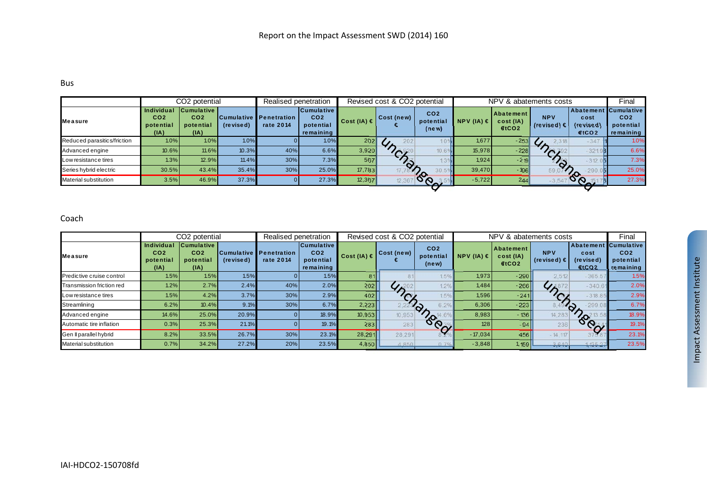#### Bus

|                             |                                                    | CO <sub>2</sub> potential                                 |           | Realised penetration                |                                                                |                 | Revised cost & CO <sub>2</sub> potential |                                       | NPV & abatements costs |                                      |                                    |                                                           | Final                                     |
|-----------------------------|----------------------------------------------------|-----------------------------------------------------------|-----------|-------------------------------------|----------------------------------------------------------------|-----------------|------------------------------------------|---------------------------------------|------------------------|--------------------------------------|------------------------------------|-----------------------------------------------------------|-------------------------------------------|
| <b>Measure</b>              | Individual<br>CO <sub>2</sub><br>potential<br>(IA) | <b>Cumulative</b><br>CO <sub>2</sub><br>potential<br>(IA) | (revised) | Cumulative Penetration<br>rate 2014 | <b>Cumulative</b><br>CO <sub>2</sub><br>potential<br>remaining | Cost (IA) $\in$ | Cost(new)                                | CO <sub>2</sub><br>potential<br>(new) | NPV (IA) $\in$         | <b>Abatement</b><br>cost(IA)<br>ECO2 | <b>NPV</b><br>(revised) $\epsilon$ | Abatement Cumulative<br>cost<br>(revised)<br><b>€tCO2</b> | CO <sub>2</sub><br>potential<br>remaining |
| Reduced parasitics/friction | 1.0%                                               | 1.0%                                                      | 1.0%      |                                     | 1.0%                                                           | 202             | 202                                      |                                       | 1,677                  | $-253$                               | 2,318<br>$\overline{U}$            | $-347$                                                    | 1.09                                      |
| Advanced engine             | 10.6%                                              | 11.6%                                                     | 10.3%     | 40%                                 | 6.6%                                                           | 3,920           | $\sim$                                   |                                       | 15,978                 | $-228$                               | $\sqrt{2}$                         | $-321$                                                    | 6.6%                                      |
| Low resistance tires        | 1.3%                                               | 12.9%                                                     | 11.4%     | 30%                                 | 7.3%                                                           | 567             | $\gamma_{\rm o}$                         |                                       | 1,924                  | $-219$                               |                                    | $-312.0$ <b>5</b>                                         | 7.3%                                      |
| Series hybrid electric      | 30.5%                                              | 43.4%                                                     | 35.4%     | 30%                                 | 25.0%                                                          | 17,783          |                                          |                                       | 39,470                 | $-196$                               |                                    | 290.                                                      | 25.0%                                     |
| Material substitution       | 3.5%                                               | 46.9%                                                     | 37.3%     |                                     | 27.3%                                                          | 12,367          | 12,367                                   | $\sigma$                              | $-5,722$               | 244                                  |                                    |                                                           | 27.3%                                     |
|                             |                                                    |                                                           |           |                                     |                                                                |                 |                                          |                                       |                        |                                      |                                    |                                                           |                                           |

#### Coach

|                           |                                                    | CO2 potential                                             |           | Realised penetration                       |                                                                |                 | Revised cost & CO2 potential |                                       | NPV & abatements costs | Final                                       |                                    |                                         |                                                                |
|---------------------------|----------------------------------------------------|-----------------------------------------------------------|-----------|--------------------------------------------|----------------------------------------------------------------|-----------------|------------------------------|---------------------------------------|------------------------|---------------------------------------------|------------------------------------|-----------------------------------------|----------------------------------------------------------------|
| <b>IMeasure</b>           | Individual<br>CO <sub>2</sub><br>potential<br>(IA) | <b>Cumulative</b><br>CO <sub>2</sub><br>potential<br>(IA) | (revised) | <b>Cumulative Penetration</b><br>rate 2014 | <b>Cumulative</b><br>CO <sub>2</sub><br>potential<br>remaining | Cost (IA) $\in$ | Cost (new)                   | CO <sub>2</sub><br>potential<br>(new) | $NPV$ (IA) $\in$       | Abatement<br>cost (IA)<br>€tCO <sub>2</sub> | <b>NPV</b><br>(revised) $\epsilon$ | Abatement<br>cost<br>(revised)<br>4tCO2 | <b>Cumulative</b><br>CO <sub>2</sub><br>potential<br>remaining |
| Predictive cruise control | 1.5%                                               | 1.5%                                                      | 1.5%      |                                            | 1.5%                                                           | 81              |                              | 1.59                                  | 1,973                  | $-290$                                      | 2.512                              | $-365.5$                                | 1.5%                                                           |
| Transmission friction red | 1.2%                                               | 2.7%                                                      | 2.4%      | 40%                                        | 2.0%                                                           | 202             | 47 <sup>20</sup>             |                                       | 1,484                  | - 266                                       |                                    | $-340.6$                                | 2.0%                                                           |
| Low resistance tires      | 1.5%                                               | 4.2%                                                      | 3.7%      | 30%                                        | 2.9%                                                           | 402             |                              |                                       | 1,596                  | $-241$                                      |                                    | $-318.85$                               | 2.9%                                                           |
| Streamlining              | 6.2%                                               | 10.4%                                                     | 9.1%      | 30%                                        | 6.7%                                                           | 2,223           |                              | 6.29<br>′⊘                            | 6,306                  | $-223$                                      |                                    | 299.08<br>∕∂                            | 6.7%                                                           |
| Advanced engine           | 14.6%                                              | 25.0%                                                     | 20.9%     |                                            | 18.9%                                                          | 10,953          | 10,953                       | $\gamma_{\text{o}}$                   | 8,983                  | $-136$                                      | 14.283                             | $\infty$                                | 18.9%                                                          |
| Automatic tire inflation  | 0.3%                                               | 25.3%                                                     | 21.1%     |                                            | 19.1%                                                          | 283             | 283                          | $\delta \hat{\mathcal{C}}_{\gamma}$   | 128                    | $-94$                                       | 236                                | $\sigma_{\infty}$                       | 19.1%                                                          |
| Gen Il parallel hybrid    | 8.2%                                               | 33.5%                                                     | 26.7%     | 30%                                        | 23.1%                                                          | 28,291          | 28,291                       |                                       | $-17.034$              | 456                                         | $-14,117$                          | 315.                                    | 23.1%                                                          |
| Material substitution     | 0.7%                                               | 34.2%                                                     | 27.2%     | 20%                                        | 23.5%                                                          | 4,850           | 4850                         | 0 <sup>7</sup>                        | $-3,848$               | 1,159                                       | 3,640                              | 1,135.2                                 | 23.5%                                                          |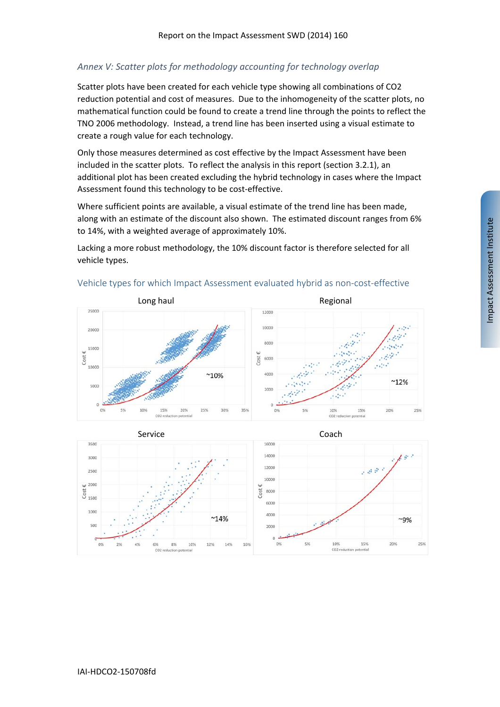## *Annex V: Scatter plots for methodology accounting for technology overlap*

Scatter plots have been created for each vehicle type showing all combinations of CO2 reduction potential and cost of measures. Due to the inhomogeneity of the scatter plots, no mathematical function could be found to create a trend line through the points to reflect the TNO 2006 methodology. Instead, a trend line has been inserted using a visual estimate to create a rough value for each technology.

Only those measures determined as cost effective by the Impact Assessment have been included in the scatter plots. To reflect the analysis in this report (section 3.2.1), an additional plot has been created excluding the hybrid technology in cases where the Impact Assessment found this technology to be cost-effective.

Where sufficient points are available, a visual estimate of the trend line has been made, along with an estimate of the discount also shown. The estimated discount ranges from 6% to 14%, with a weighted average of approximately 10%.

Lacking a more robust methodology, the 10% discount factor is therefore selected for all vehicle types.



#### Vehicle types for which Impact Assessment evaluated hybrid as non‐cost‐effective

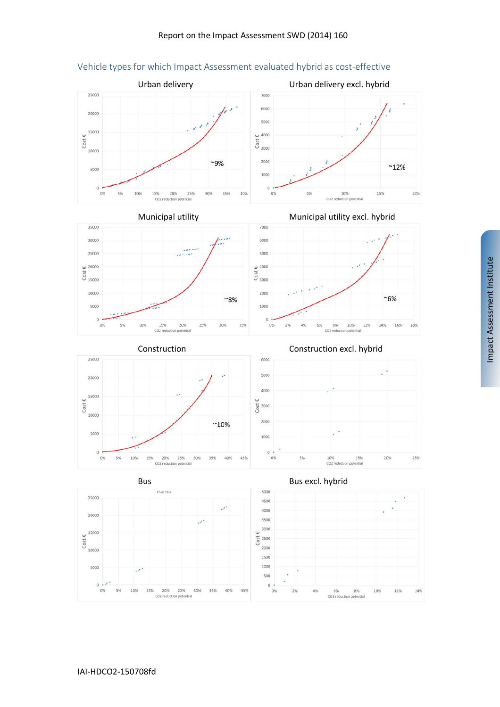

#### Vehicle types for which Impact Assessment evaluated hybrid as cost‐effective